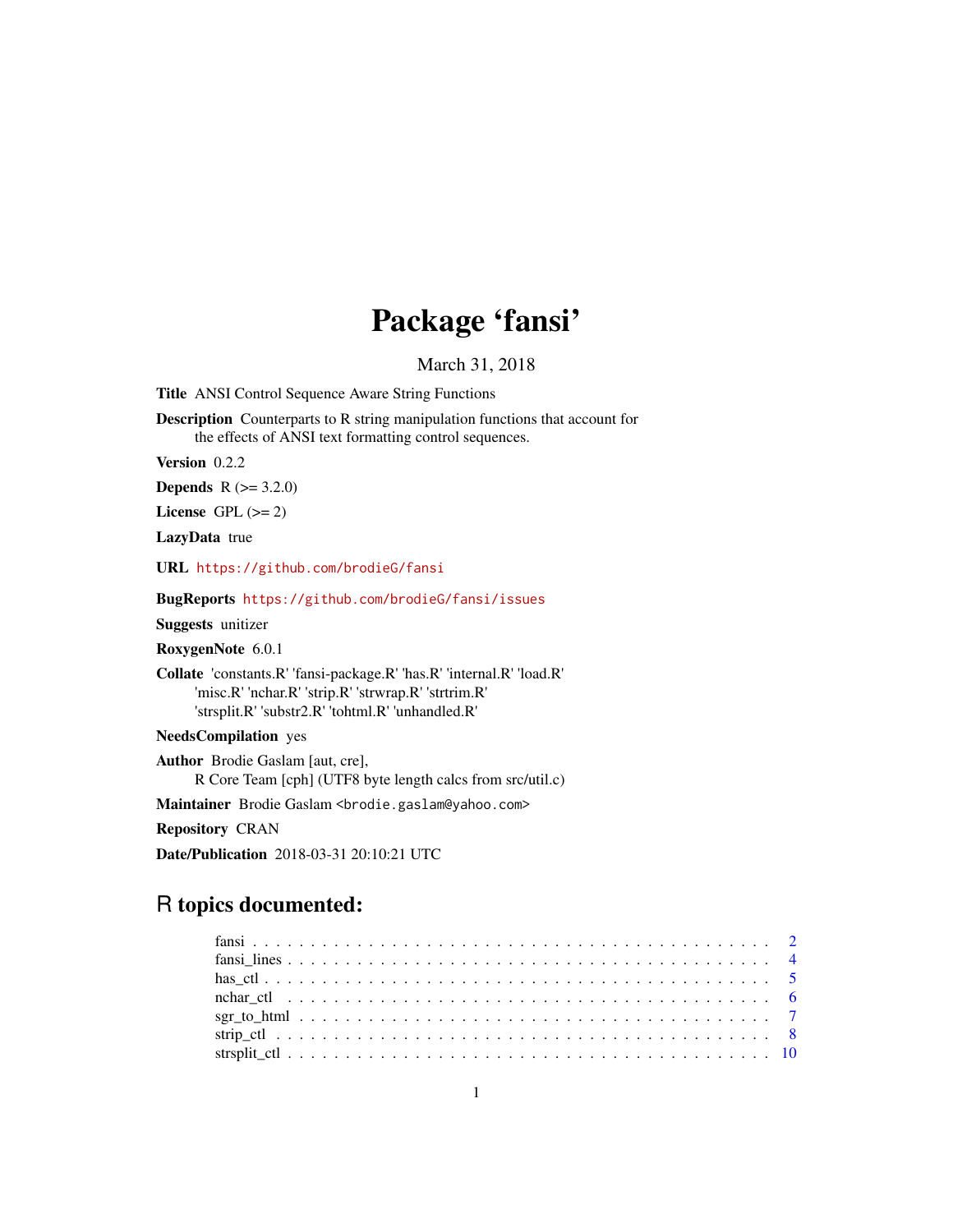# Package 'fansi'

March 31, 2018

<span id="page-0-0"></span>Title ANSI Control Sequence Aware String Functions

Description Counterparts to R string manipulation functions that account for the effects of ANSI text formatting control sequences.

Version 0.2.2

**Depends** R  $(>= 3.2.0)$ 

License GPL  $(>= 2)$ 

LazyData true

URL <https://github.com/brodieG/fansi>

BugReports <https://github.com/brodieG/fansi/issues>

Suggests unitizer

RoxygenNote 6.0.1

Collate 'constants.R' 'fansi-package.R' 'has.R' 'internal.R' 'load.R' 'misc.R' 'nchar.R' 'strip.R' 'strwrap.R' 'strtrim.R' 'strsplit.R' 'substr2.R' 'tohtml.R' 'unhandled.R'

NeedsCompilation yes

Author Brodie Gaslam [aut, cre], R Core Team [cph] (UTF8 byte length calcs from src/util.c)

Maintainer Brodie Gaslam <br />brodie.gaslam@yahoo.com>

Repository CRAN

Date/Publication 2018-03-31 20:10:21 UTC

# R topics documented:

| $sgr\_to_l$ html $\ldots \ldots \ldots \ldots \ldots \ldots \ldots \ldots \ldots \ldots \ldots \ldots \ldots$ |  |  |  |  |  |  |  |  |  |  |  |  |  |  |  |  |  |  |  |  |  |
|---------------------------------------------------------------------------------------------------------------|--|--|--|--|--|--|--|--|--|--|--|--|--|--|--|--|--|--|--|--|--|
|                                                                                                               |  |  |  |  |  |  |  |  |  |  |  |  |  |  |  |  |  |  |  |  |  |
|                                                                                                               |  |  |  |  |  |  |  |  |  |  |  |  |  |  |  |  |  |  |  |  |  |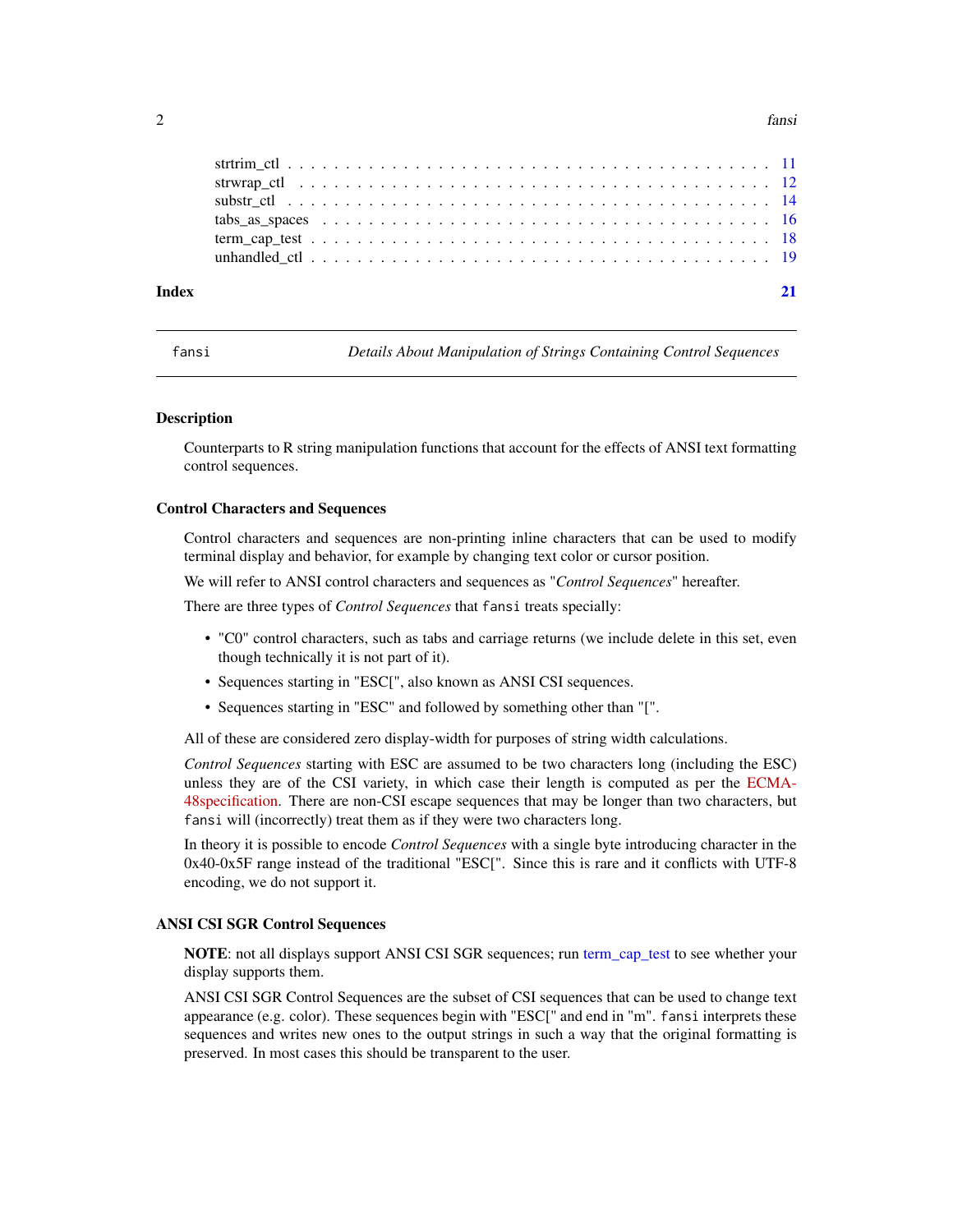#### <span id="page-1-0"></span> $2 \t fansi$

| Index |  |
|-------|--|
|       |  |
|       |  |
|       |  |
|       |  |
|       |  |
|       |  |

<span id="page-1-1"></span>fansi *Details About Manipulation of Strings Containing Control Sequences*

#### **Description**

Counterparts to R string manipulation functions that account for the effects of ANSI text formatting control sequences.

#### Control Characters and Sequences

Control characters and sequences are non-printing inline characters that can be used to modify terminal display and behavior, for example by changing text color or cursor position.

We will refer to ANSI control characters and sequences as "*Control Sequences*" hereafter.

There are three types of *Control Sequences* that fansi treats specially:

- "C0" control characters, such as tabs and carriage returns (we include delete in this set, even though technically it is not part of it).
- Sequences starting in "ESC[", also known as ANSI CSI sequences.
- Sequences starting in "ESC" and followed by something other than "[".

All of these are considered zero display-width for purposes of string width calculations.

*Control Sequences* starting with ESC are assumed to be two characters long (including the ESC) unless they are of the CSI variety, in which case their length is computed as per the [ECMA-](http://www.ecma-international.org/publications/standards/Ecma-048.htm)[48specification.](http://www.ecma-international.org/publications/standards/Ecma-048.htm) There are non-CSI escape sequences that may be longer than two characters, but fansi will (incorrectly) treat them as if they were two characters long.

In theory it is possible to encode *Control Sequences* with a single byte introducing character in the 0x40-0x5F range instead of the traditional "ESC[". Since this is rare and it conflicts with UTF-8 encoding, we do not support it.

## ANSI CSI SGR Control Sequences

NOTE: not all displays support ANSI CSI SGR sequences; run [term\\_cap\\_test](#page-17-1) to see whether your display supports them.

ANSI CSI SGR Control Sequences are the subset of CSI sequences that can be used to change text appearance (e.g. color). These sequences begin with "ESC[" and end in "m". fansi interprets these sequences and writes new ones to the output strings in such a way that the original formatting is preserved. In most cases this should be transparent to the user.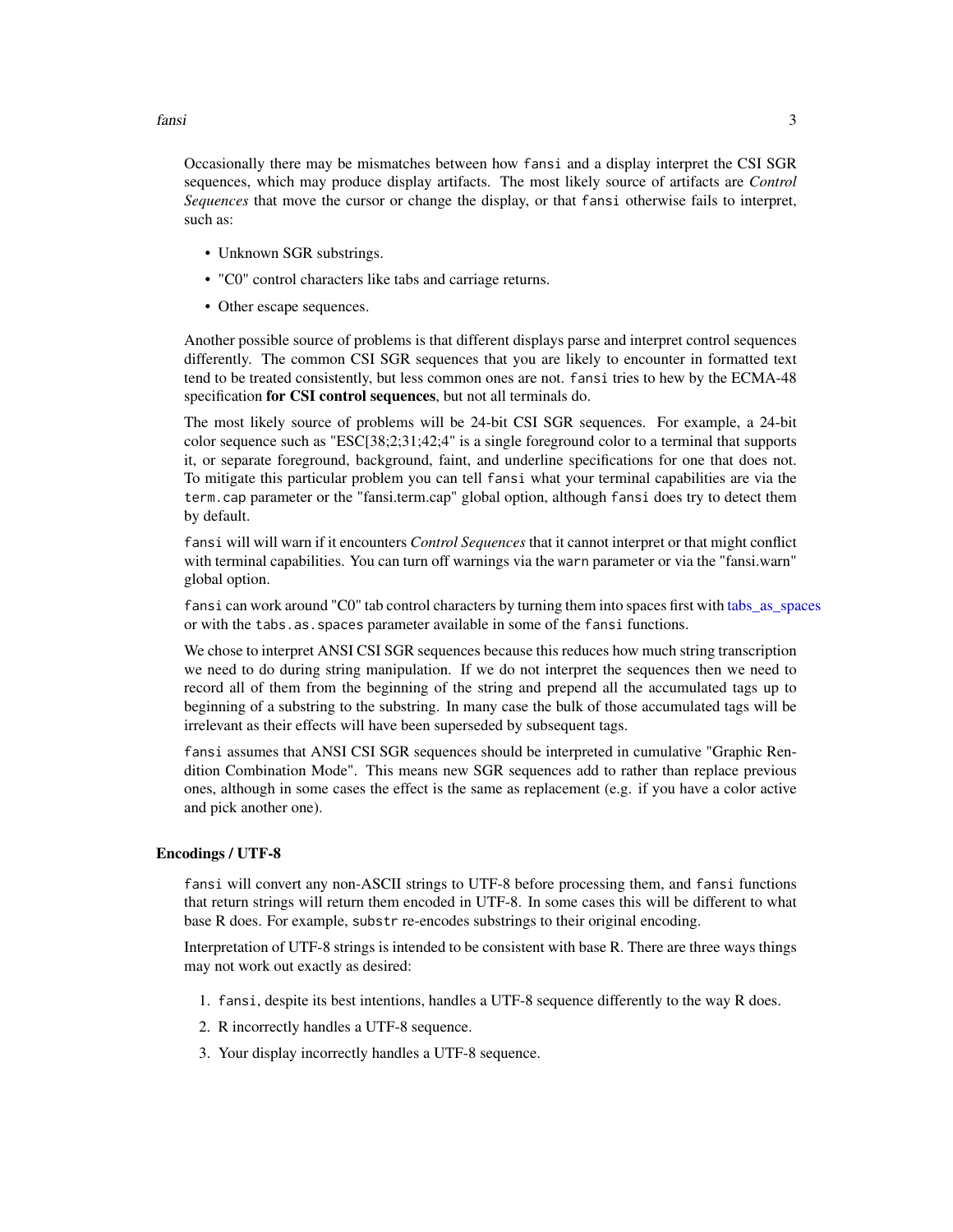<span id="page-2-0"></span>Occasionally there may be mismatches between how fansi and a display interpret the CSI SGR sequences, which may produce display artifacts. The most likely source of artifacts are *Control Sequences* that move the cursor or change the display, or that fansi otherwise fails to interpret, such as:

- Unknown SGR substrings.
- "C0" control characters like tabs and carriage returns.
- Other escape sequences.

Another possible source of problems is that different displays parse and interpret control sequences differently. The common CSI SGR sequences that you are likely to encounter in formatted text tend to be treated consistently, but less common ones are not. fansi tries to hew by the ECMA-48 specification for CSI control sequences, but not all terminals do.

The most likely source of problems will be 24-bit CSI SGR sequences. For example, a 24-bit color sequence such as "ESC[38;2;31;42;4" is a single foreground color to a terminal that supports it, or separate foreground, background, faint, and underline specifications for one that does not. To mitigate this particular problem you can tell fansi what your terminal capabilities are via the term.cap parameter or the "fansi.term.cap" global option, although fansi does try to detect them by default.

fansi will will warn if it encounters *Control Sequences* that it cannot interpret or that might conflict with terminal capabilities. You can turn off warnings via the warn parameter or via the "fansi.warn" global option.

fansi can work around "C0" tab control characters by turning them into spaces first with [tabs\\_as\\_spaces](#page-15-1) or with the tabs.as.spaces parameter available in some of the fansi functions.

We chose to interpret ANSI CSI SGR sequences because this reduces how much string transcription we need to do during string manipulation. If we do not interpret the sequences then we need to record all of them from the beginning of the string and prepend all the accumulated tags up to beginning of a substring to the substring. In many case the bulk of those accumulated tags will be irrelevant as their effects will have been superseded by subsequent tags.

fansi assumes that ANSI CSI SGR sequences should be interpreted in cumulative "Graphic Rendition Combination Mode". This means new SGR sequences add to rather than replace previous ones, although in some cases the effect is the same as replacement (e.g. if you have a color active and pick another one).

#### Encodings / UTF-8

fansi will convert any non-ASCII strings to UTF-8 before processing them, and fansi functions that return strings will return them encoded in UTF-8. In some cases this will be different to what base R does. For example, substr re-encodes substrings to their original encoding.

Interpretation of UTF-8 strings is intended to be consistent with base R. There are three ways things may not work out exactly as desired:

- 1. fansi, despite its best intentions, handles a UTF-8 sequence differently to the way R does.
- 2. R incorrectly handles a UTF-8 sequence.
- 3. Your display incorrectly handles a UTF-8 sequence.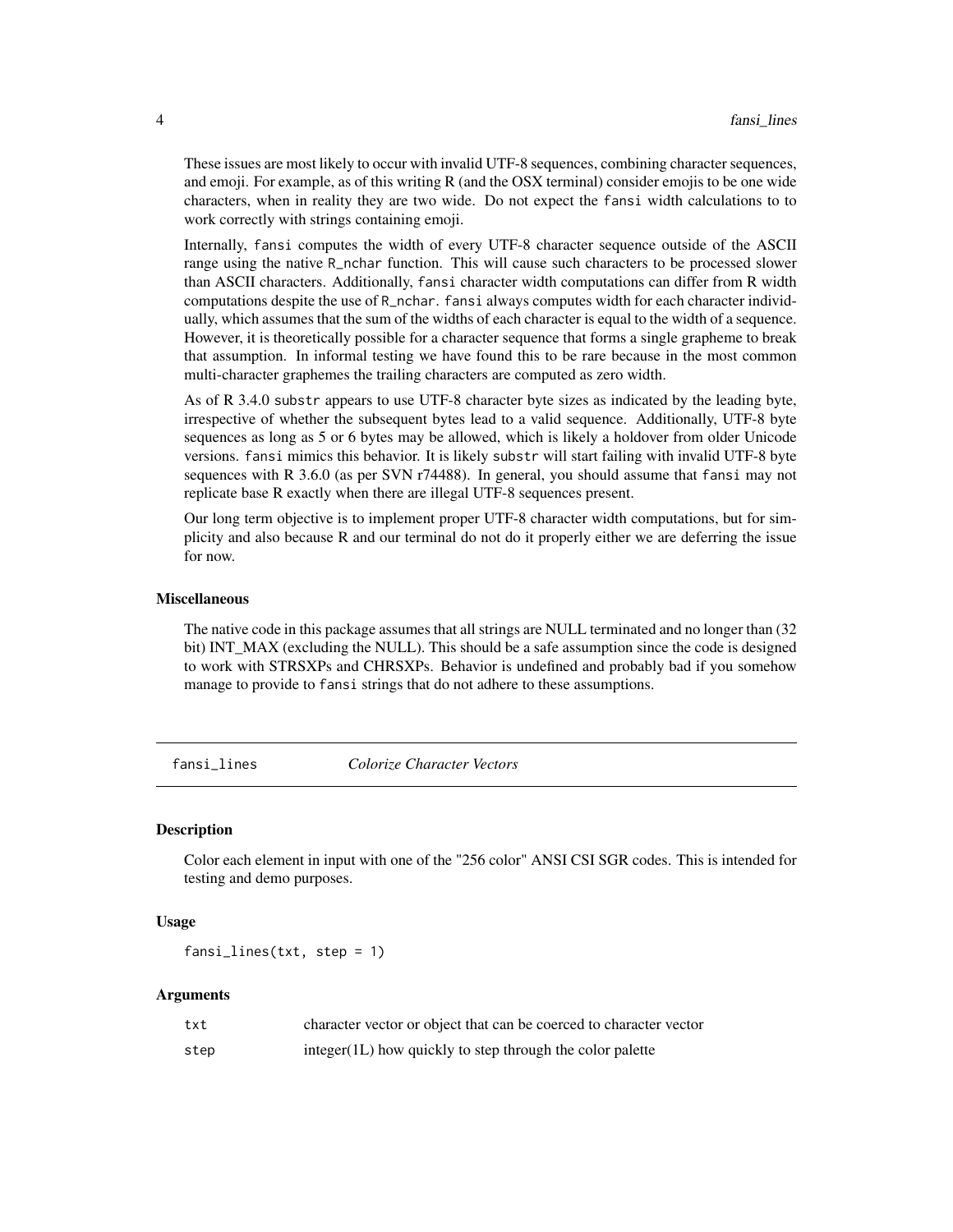These issues are most likely to occur with invalid UTF-8 sequences, combining character sequences, and emoji. For example, as of this writing  $R$  (and the OSX terminal) consider emojis to be one wide characters, when in reality they are two wide. Do not expect the fansi width calculations to to work correctly with strings containing emoji.

Internally, fansi computes the width of every UTF-8 character sequence outside of the ASCII range using the native R\_nchar function. This will cause such characters to be processed slower than ASCII characters. Additionally, fansi character width computations can differ from R width computations despite the use of R\_nchar. fansi always computes width for each character individually, which assumes that the sum of the widths of each character is equal to the width of a sequence. However, it is theoretically possible for a character sequence that forms a single grapheme to break that assumption. In informal testing we have found this to be rare because in the most common multi-character graphemes the trailing characters are computed as zero width.

As of R 3.4.0 substr appears to use UTF-8 character byte sizes as indicated by the leading byte, irrespective of whether the subsequent bytes lead to a valid sequence. Additionally, UTF-8 byte sequences as long as 5 or 6 bytes may be allowed, which is likely a holdover from older Unicode versions. fansi mimics this behavior. It is likely substr will start failing with invalid UTF-8 byte sequences with R 3.6.0 (as per SVN r74488). In general, you should assume that fansi may not replicate base R exactly when there are illegal UTF-8 sequences present.

Our long term objective is to implement proper UTF-8 character width computations, but for simplicity and also because R and our terminal do not do it properly either we are deferring the issue for now.

#### Miscellaneous

The native code in this package assumes that all strings are NULL terminated and no longer than (32 bit) INT\_MAX (excluding the NULL). This should be a safe assumption since the code is designed to work with STRSXPs and CHRSXPs. Behavior is undefined and probably bad if you somehow manage to provide to fansi strings that do not adhere to these assumptions.

fansi\_lines *Colorize Character Vectors*

# **Description**

Color each element in input with one of the "256 color" ANSI CSI SGR codes. This is intended for testing and demo purposes.

#### Usage

fansi\_lines(txt, step = 1)

#### Arguments

| txt  | character vector or object that can be coerced to character vector |
|------|--------------------------------------------------------------------|
| step | integer(1L) how quickly to step through the color palette          |

<span id="page-3-0"></span>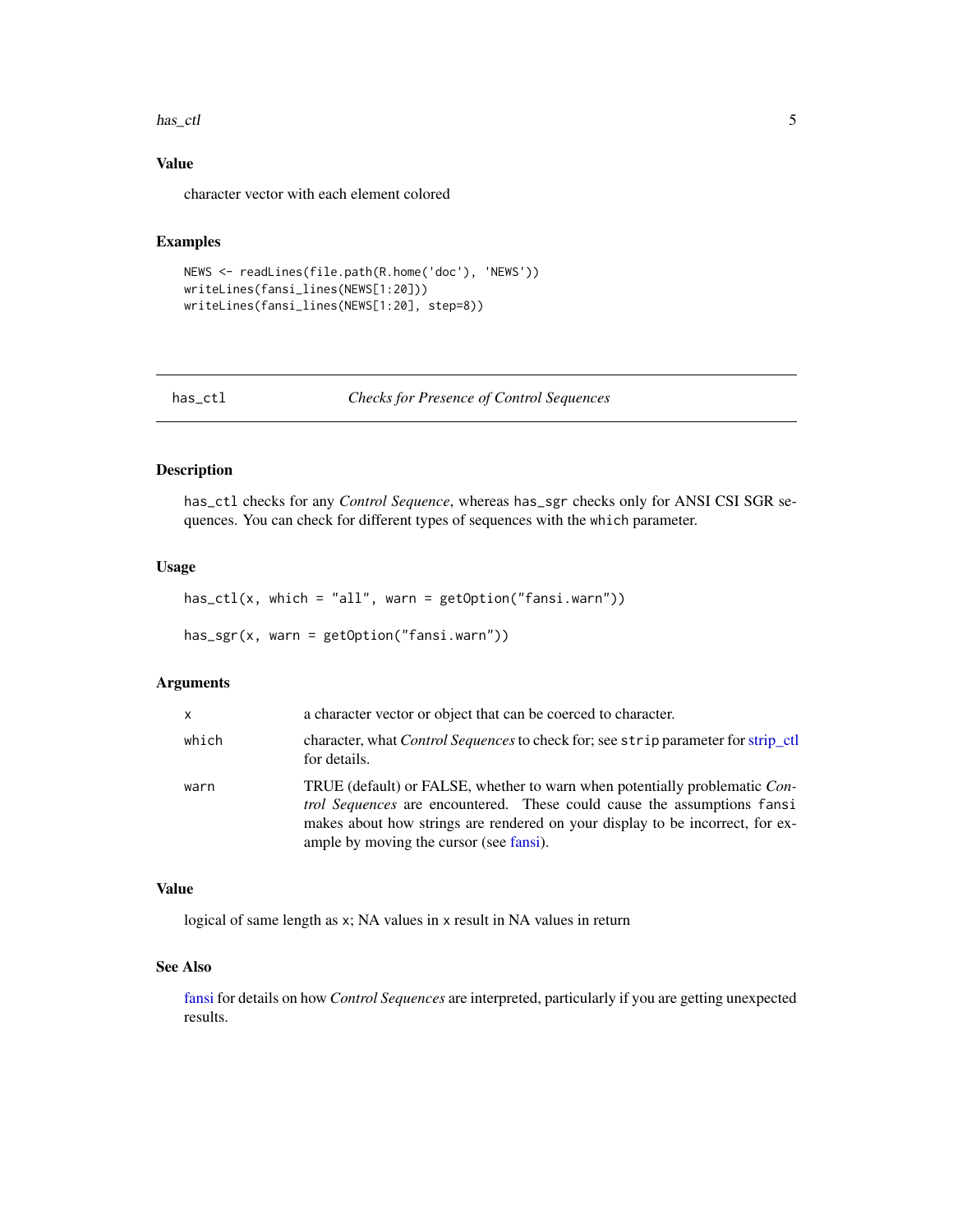#### <span id="page-4-0"></span>has\_ctl 5

# Value

character vector with each element colored

# Examples

```
NEWS <- readLines(file.path(R.home('doc'), 'NEWS'))
writeLines(fansi_lines(NEWS[1:20]))
writeLines(fansi_lines(NEWS[1:20], step=8))
```

| has | ctl |
|-----|-----|
|     |     |

**Checks for Presence of Control Sequences** 

# Description

has\_ctl checks for any *Control Sequence*, whereas has\_sgr checks only for ANSI CSI SGR sequences. You can check for different types of sequences with the which parameter.

# Usage

```
has_ctl(x, which = "all", warn = getOption("fansi.warn"))
```
has\_sgr(x, warn = getOption("fansi.warn"))

#### Arguments

| X.    | a character vector or object that can be coerced to character.                                                                                                                                                                                                                           |
|-------|------------------------------------------------------------------------------------------------------------------------------------------------------------------------------------------------------------------------------------------------------------------------------------------|
| which | character, what <i>Control Sequences</i> to check for; see strip parameter for strip_ctl<br>for details.                                                                                                                                                                                 |
| warn  | TRUE (default) or FALSE, whether to warn when potentially problematic Con-<br><i>trol Sequences</i> are encountered. These could cause the assumptions fansi<br>makes about how strings are rendered on your display to be incorrect, for ex-<br>ample by moving the cursor (see fansi). |

## Value

logical of same length as x; NA values in x result in NA values in return

# See Also

[fansi](#page-1-1) for details on how *Control Sequences* are interpreted, particularly if you are getting unexpected results.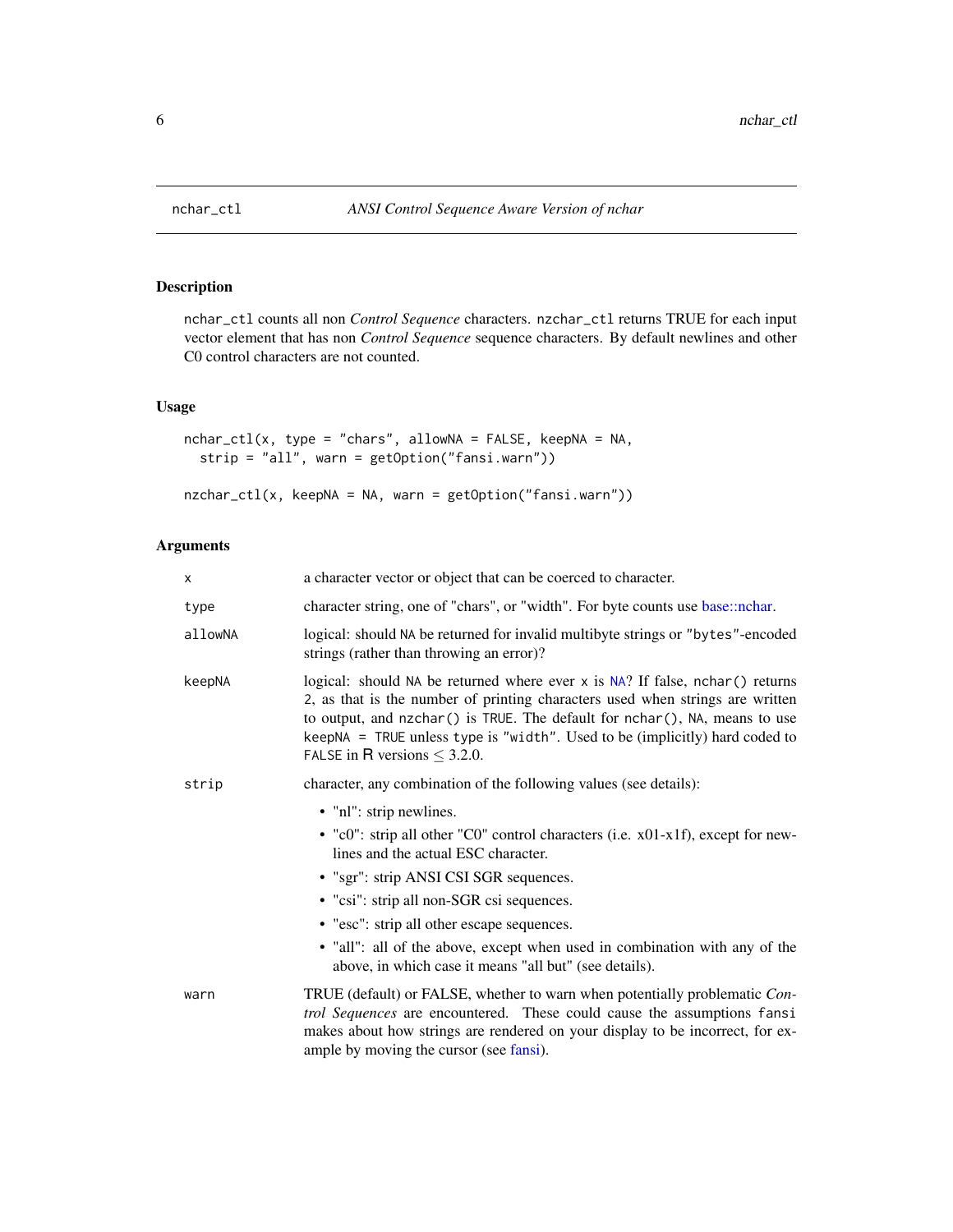<span id="page-5-0"></span>

# Description

nchar\_ctl counts all non *Control Sequence* characters. nzchar\_ctl returns TRUE for each input vector element that has non *Control Sequence* sequence characters. By default newlines and other C0 control characters are not counted.

# Usage

```
nchar_ctl(x, type = "chars", allowNA = FALSE, keepNA = NA,
  strip = "all", warn = getOption("fansi.warn"))
```

```
nzchar_ctl(x, keepNA = NA, warn = getOption("fansi.warn"))
```
#### Arguments

| X       | a character vector or object that can be coerced to character.                                                                                                                                                                                                                                                                                                                                                                 |
|---------|--------------------------------------------------------------------------------------------------------------------------------------------------------------------------------------------------------------------------------------------------------------------------------------------------------------------------------------------------------------------------------------------------------------------------------|
| type    | character string, one of "chars", or "width". For byte counts use base::nchar.                                                                                                                                                                                                                                                                                                                                                 |
| allowNA | logical: should NA be returned for invalid multibyte strings or "bytes"-encoded<br>strings (rather than throwing an error)?                                                                                                                                                                                                                                                                                                    |
| keepNA  | logical: should NA be returned where ever $x$ is NA? If false, nchar() returns<br>2, as that is the number of printing characters used when strings are written<br>to output, and nzchar() is TRUE. The default for nchar(), NA, means to use<br>keepNA = TRUE unless type is "width". Used to be (implicitly) hard coded to<br>FALSE in R versions $\leq$ 3.2.0.                                                              |
| strip   | character, any combination of the following values (see details):                                                                                                                                                                                                                                                                                                                                                              |
|         | • "nl": strip newlines.<br>• "c0": strip all other "C0" control characters (i.e. x01-x1f), except for new-<br>lines and the actual ESC character.<br>• "sgr": strip ANSI CSI SGR sequences.<br>• "csi": strip all non-SGR csi sequences.<br>• "esc": strip all other escape sequences.<br>• "all": all of the above, except when used in combination with any of the<br>above, in which case it means "all but" (see details). |
| warn    | TRUE (default) or FALSE, whether to warn when potentially problematic Con-<br>trol Sequences are encountered. These could cause the assumptions fansi<br>makes about how strings are rendered on your display to be incorrect, for ex-<br>ample by moving the cursor (see fansi).                                                                                                                                              |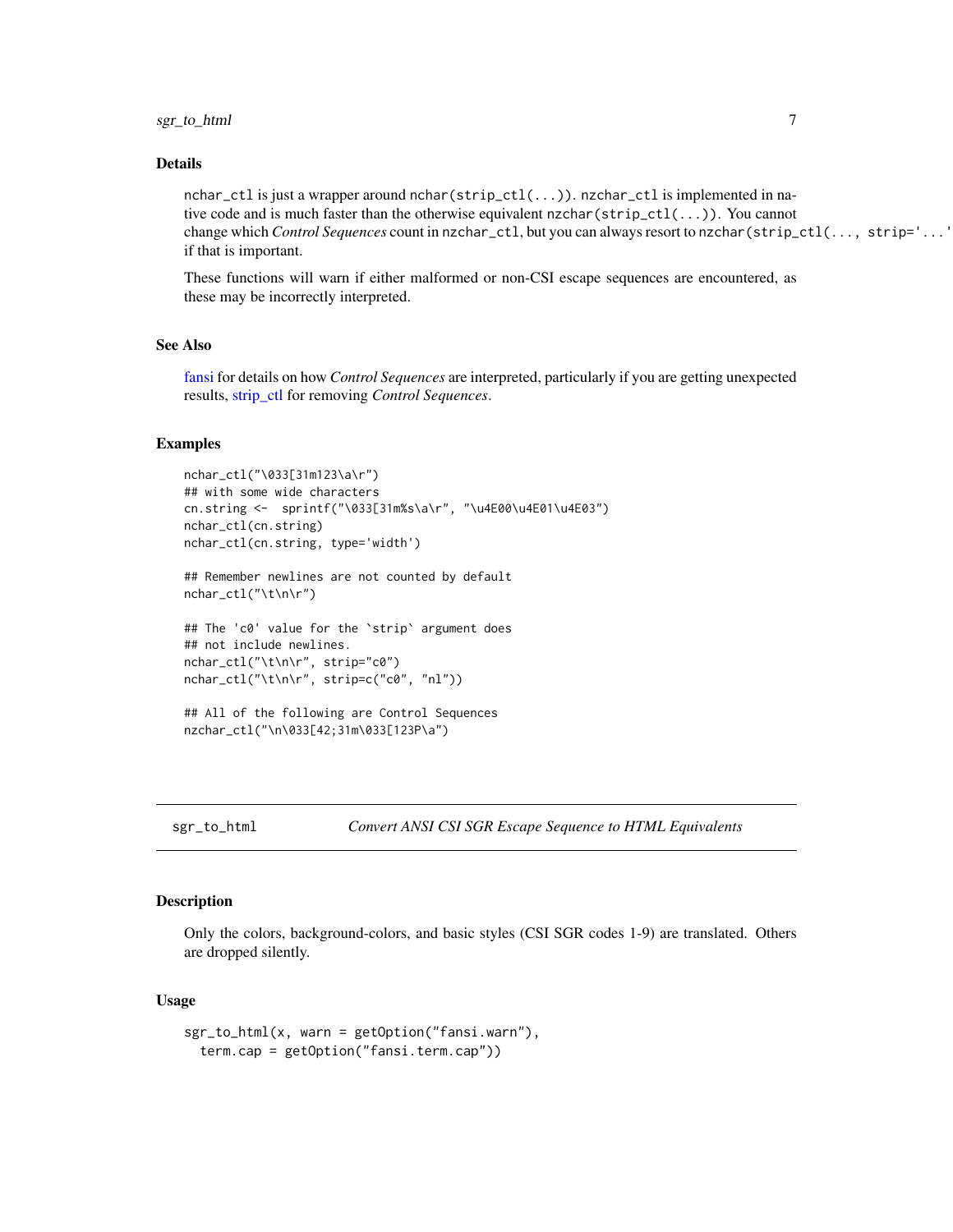# <span id="page-6-0"></span>sgr\_to\_html 7

#### Details

nchar\_ctl is just a wrapper around nchar(strip\_ctl(...)). nzchar\_ctl is implemented in native code and is much faster than the otherwise equivalent nzchar(strip\_ctl(...)). You cannot change which *Control Sequences* count in nzchar\_ctl, but you can always resort to nzchar(strip\_ctl(..., strip='...')) if that is important.

These functions will warn if either malformed or non-CSI escape sequences are encountered, as these may be incorrectly interpreted.

#### See Also

[fansi](#page-1-1) for details on how *Control Sequences* are interpreted, particularly if you are getting unexpected results, [strip\\_ctl](#page-7-1) for removing *Control Sequences*.

# Examples

```
nchar_ctl("\033[31m123\a\r")
## with some wide characters
cn.string <- sprintf("\033[31m%s\a\r", "\u4E00\u4E01\u4E03")
nchar_ctl(cn.string)
nchar_ctl(cn.string, type='width')
```
## Remember newlines are not counted by default nchar\_ctl("\t\n\r")

```
## The 'c0' value for the `strip` argument does
## not include newlines.
nchar_ctl("\t\n\r", strip="c0")
nchar_ctl("\t\n\r", strip=c("c0", "nl"))
```

```
## All of the following are Control Sequences
nzchar_ctl("\n\033[42;31m\033[123P\a")
```
sgr\_to\_html *Convert ANSI CSI SGR Escape Sequence to HTML Equivalents*

#### **Description**

Only the colors, background-colors, and basic styles (CSI SGR codes 1-9) are translated. Others are dropped silently.

#### Usage

```
sgr_to_html(x, warn = getOption("fansi.warn"),
  term.cap = getOption("fansi.term.cap"))
```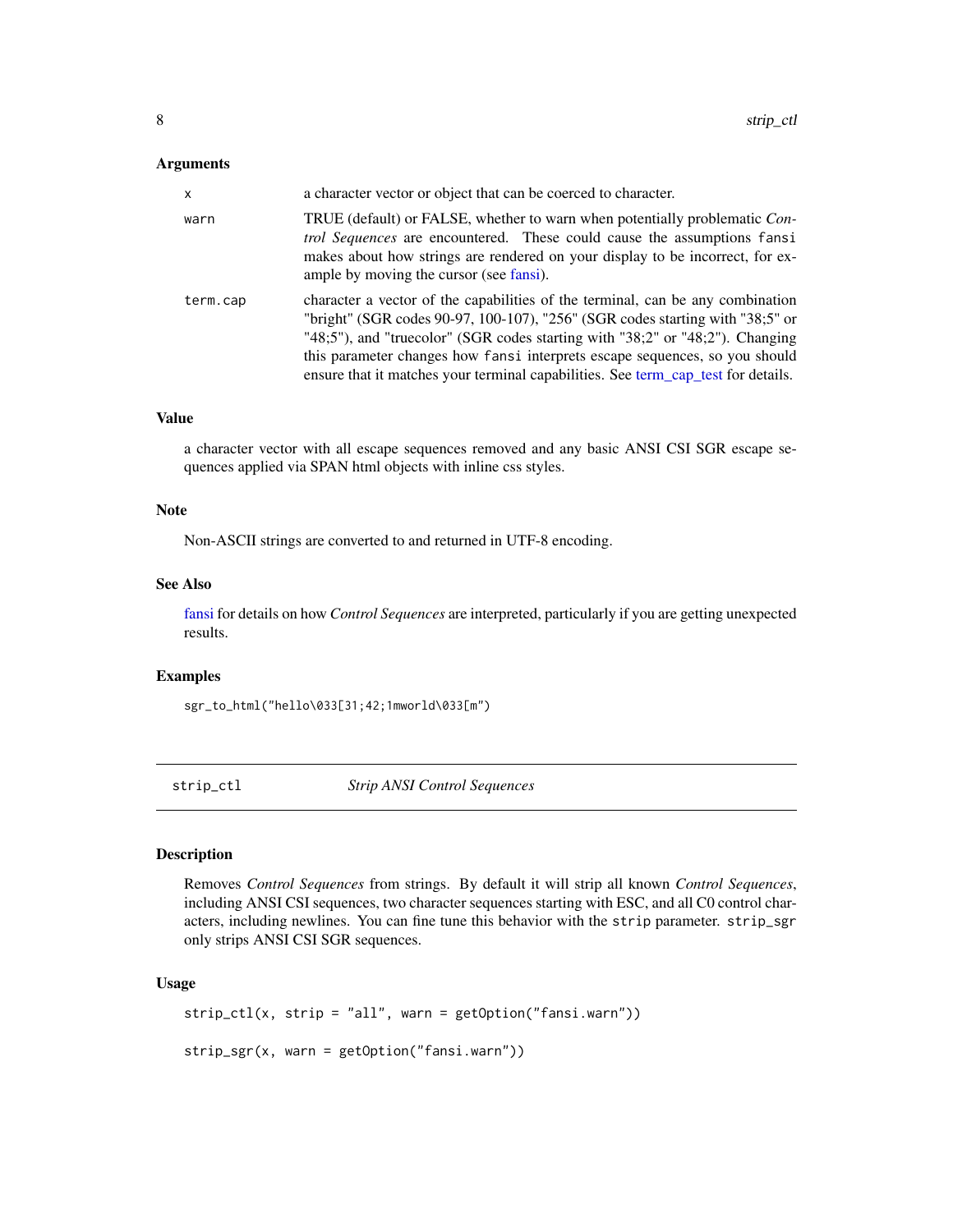#### <span id="page-7-0"></span>Arguments

| X        | a character vector or object that can be coerced to character.                                                                                                                                                                                                                                                                                                                                                       |
|----------|----------------------------------------------------------------------------------------------------------------------------------------------------------------------------------------------------------------------------------------------------------------------------------------------------------------------------------------------------------------------------------------------------------------------|
| warn     | TRUE (default) or FALSE, whether to warn when potentially problematic Con-<br><i>trol Sequences</i> are encountered. These could cause the assumptions fansi<br>makes about how strings are rendered on your display to be incorrect, for ex-<br>ample by moving the cursor (see fansi).                                                                                                                             |
| term.cap | character a vector of the capabilities of the terminal, can be any combination<br>"bright" (SGR codes 90-97, 100-107), "256" (SGR codes starting with "38;5" or<br>"48;5"), and "truecolor" (SGR codes starting with "38;2" or "48;2"). Changing<br>this parameter changes how fansi interprets escape sequences, so you should<br>ensure that it matches your terminal capabilities. See term_cap_test for details. |

# Value

a character vector with all escape sequences removed and any basic ANSI CSI SGR escape sequences applied via SPAN html objects with inline css styles.

#### Note

Non-ASCII strings are converted to and returned in UTF-8 encoding.

# See Also

[fansi](#page-1-1) for details on how *Control Sequences* are interpreted, particularly if you are getting unexpected results.

## Examples

sgr\_to\_html("hello\033[31;42;1mworld\033[m")

<span id="page-7-1"></span>strip\_ctl *Strip ANSI Control Sequences*

#### Description

Removes *Control Sequences* from strings. By default it will strip all known *Control Sequences*, including ANSI CSI sequences, two character sequences starting with ESC, and all C0 control characters, including newlines. You can fine tune this behavior with the strip parameter. strip\_sgr only strips ANSI CSI SGR sequences.

# Usage

```
strip_ctl(x, strip = "all", warn = getOption("fansi.warn"))
strip_sgr(x, warn = getOption("fansi.warn"))
```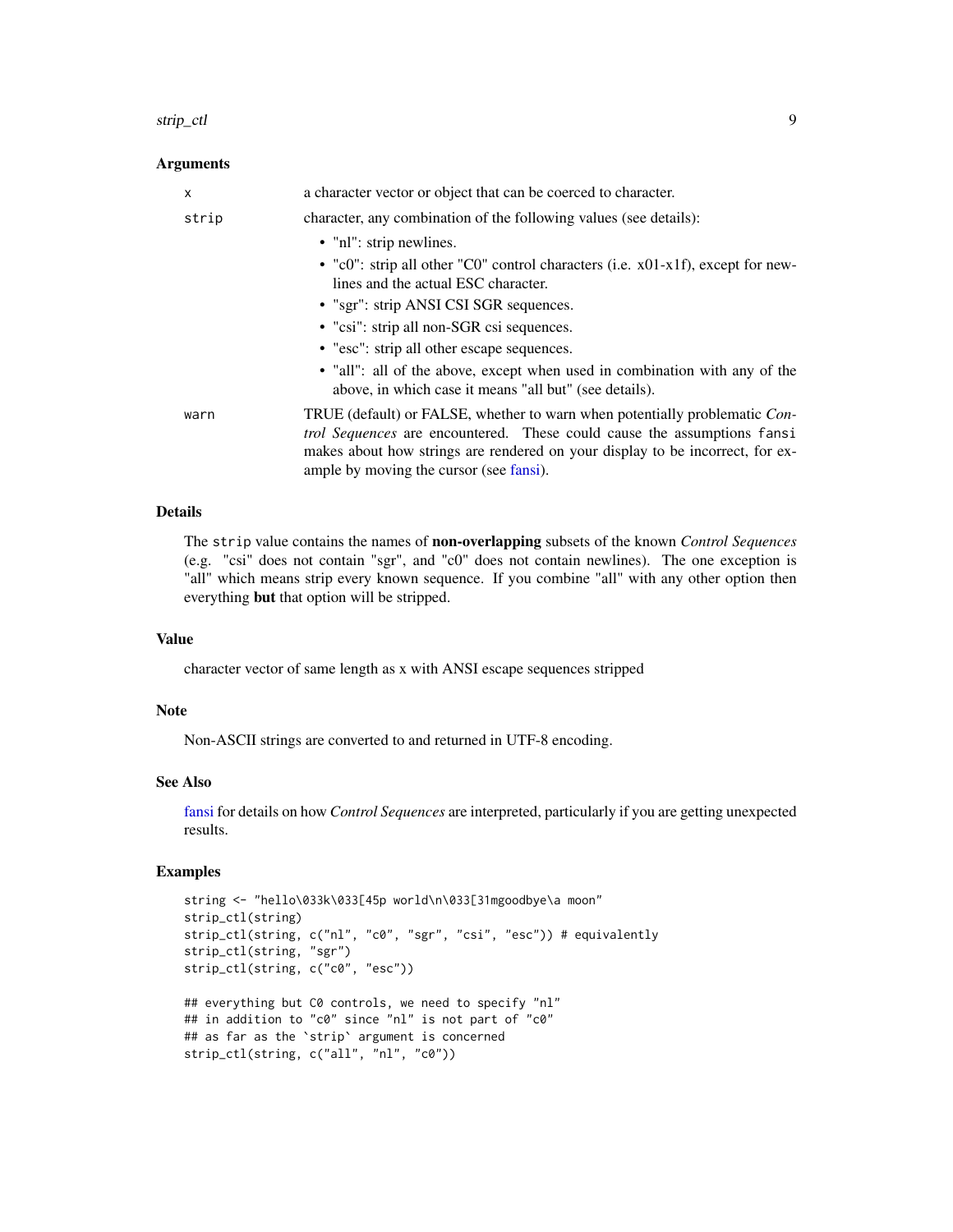#### strip\_ctl 9

#### Arguments

| X     | a character vector or object that can be coerced to character.                                                                                                                                                                                                                           |
|-------|------------------------------------------------------------------------------------------------------------------------------------------------------------------------------------------------------------------------------------------------------------------------------------------|
| strip | character, any combination of the following values (see details):                                                                                                                                                                                                                        |
|       | • "nl": strip newlines.                                                                                                                                                                                                                                                                  |
|       | • "c0": strip all other "C0" control characters (i.e. x01-x1f), except for new-<br>lines and the actual ESC character.                                                                                                                                                                   |
|       | • "sgr": strip ANSI CSI SGR sequences.                                                                                                                                                                                                                                                   |
|       | • "csi": strip all non-SGR csi sequences.                                                                                                                                                                                                                                                |
|       | • "esc": strip all other escape sequences.                                                                                                                                                                                                                                               |
|       | • "all": all of the above, except when used in combination with any of the<br>above, in which case it means "all but" (see details).                                                                                                                                                     |
| warn  | TRUE (default) or FALSE, whether to warn when potentially problematic Con-<br><i>trol Sequences</i> are encountered. These could cause the assumptions fansi<br>makes about how strings are rendered on your display to be incorrect, for ex-<br>ample by moving the cursor (see fansi). |

# Details

The strip value contains the names of non-overlapping subsets of the known *Control Sequences* (e.g. "csi" does not contain "sgr", and "c0" does not contain newlines). The one exception is "all" which means strip every known sequence. If you combine "all" with any other option then everything but that option will be stripped.

## Value

character vector of same length as x with ANSI escape sequences stripped

# Note

Non-ASCII strings are converted to and returned in UTF-8 encoding.

#### See Also

[fansi](#page-1-1) for details on how *Control Sequences* are interpreted, particularly if you are getting unexpected results.

# Examples

```
string <- "hello\033k\033[45p world\n\033[31mgoodbye\a moon"
strip_ctl(string)
strip_ctl(string, c("nl", "c0", "sgr", "csi", "esc")) # equivalently
strip_ctl(string, "sgr")
strip_ctl(string, c("c0", "esc"))
## everything but C0 controls, we need to specify "nl"
## in addition to "c0" since "nl" is not part of "c0"
## as far as the `strip` argument is concerned
strip_ctl(string, c("all", "nl", "c0"))
```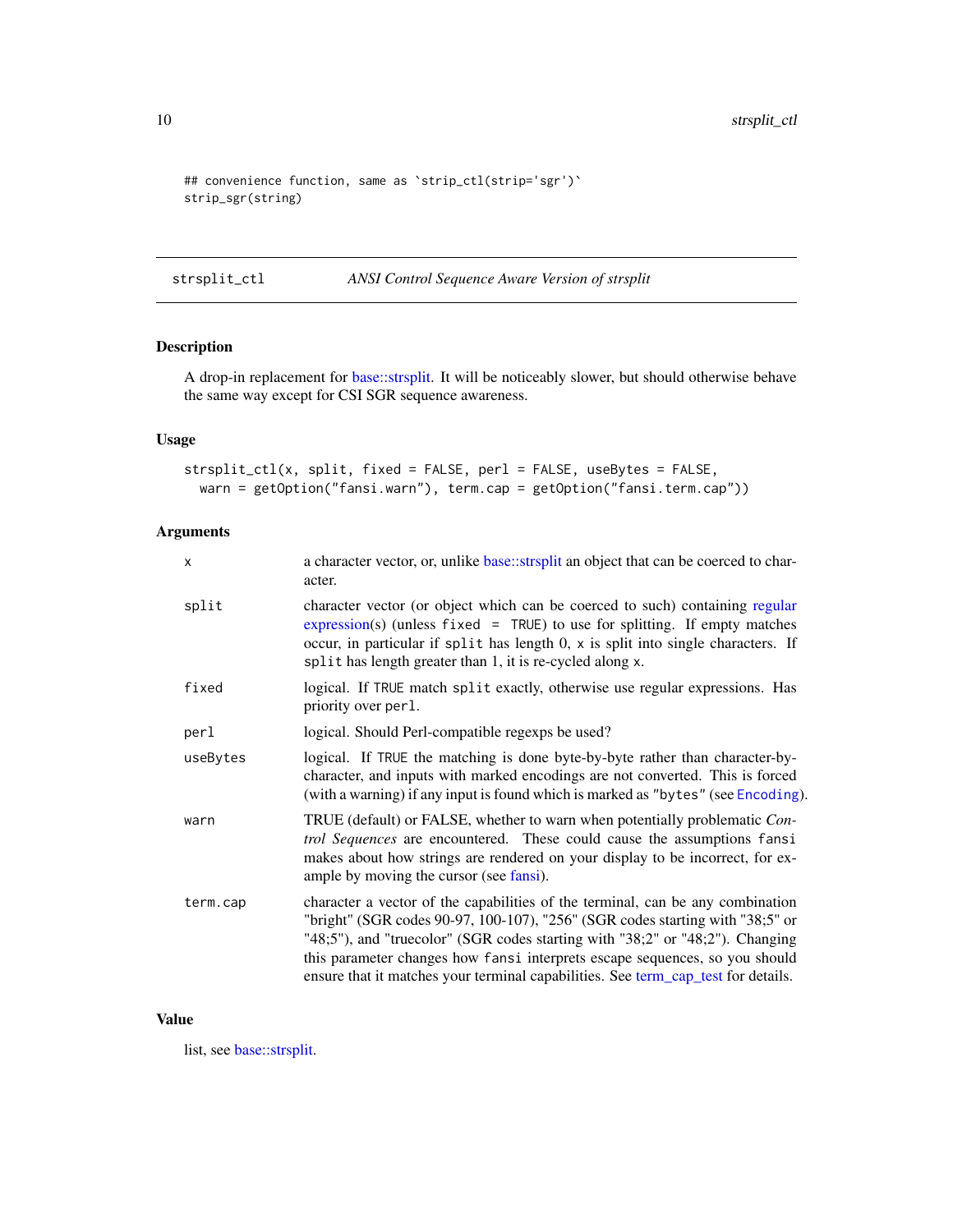```
## convenience function, same as 'strip_ctl(strip='sgr')'
strip_sgr(string)
```
strsplit\_ctl *ANSI Control Sequence Aware Version of strsplit*

# Description

A drop-in replacement for [base::strsplit.](#page-0-0) It will be noticeably slower, but should otherwise behave the same way except for CSI SGR sequence awareness.

# Usage

strsplit\_ctl(x, split, fixed = FALSE, perl = FALSE, useBytes = FALSE, warn = getOption("fansi.warn"), term.cap = getOption("fansi.term.cap"))

# Arguments

| X        | a character vector, or, unlike base: strsplit an object that can be coerced to char-<br>acter.                                                                                                                                                                                                                                                                                                                       |
|----------|----------------------------------------------------------------------------------------------------------------------------------------------------------------------------------------------------------------------------------------------------------------------------------------------------------------------------------------------------------------------------------------------------------------------|
| split    | character vector (or object which can be coerced to such) containing regular<br>$expression(s)$ (unless fixed = TRUE) to use for splitting. If empty matches<br>occur, in particular if split has length 0, x is split into single characters. If<br>split has length greater than 1, it is re-cycled along x.                                                                                                       |
| fixed    | logical. If TRUE match split exactly, otherwise use regular expressions. Has<br>priority over per 1.                                                                                                                                                                                                                                                                                                                 |
| perl     | logical. Should Perl-compatible regexps be used?                                                                                                                                                                                                                                                                                                                                                                     |
| useBytes | logical. If TRUE the matching is done byte-by-byte rather than character-by-<br>character, and inputs with marked encodings are not converted. This is forced<br>(with a warning) if any input is found which is marked as "bytes" (see Encoding).                                                                                                                                                                   |
| warn     | TRUE (default) or FALSE, whether to warn when potentially problematic Con-<br>trol Sequences are encountered. These could cause the assumptions fansi<br>makes about how strings are rendered on your display to be incorrect, for ex-<br>ample by moving the cursor (see fansi).                                                                                                                                    |
| term.cap | character a vector of the capabilities of the terminal, can be any combination<br>"bright" (SGR codes 90-97, 100-107), "256" (SGR codes starting with "38;5" or<br>"48;5"), and "truecolor" (SGR codes starting with "38;2" or "48;2"). Changing<br>this parameter changes how fansi interprets escape sequences, so you should<br>ensure that it matches your terminal capabilities. See term_cap_test for details. |

# Value

list, see [base::strsplit.](#page-0-0)

<span id="page-9-0"></span>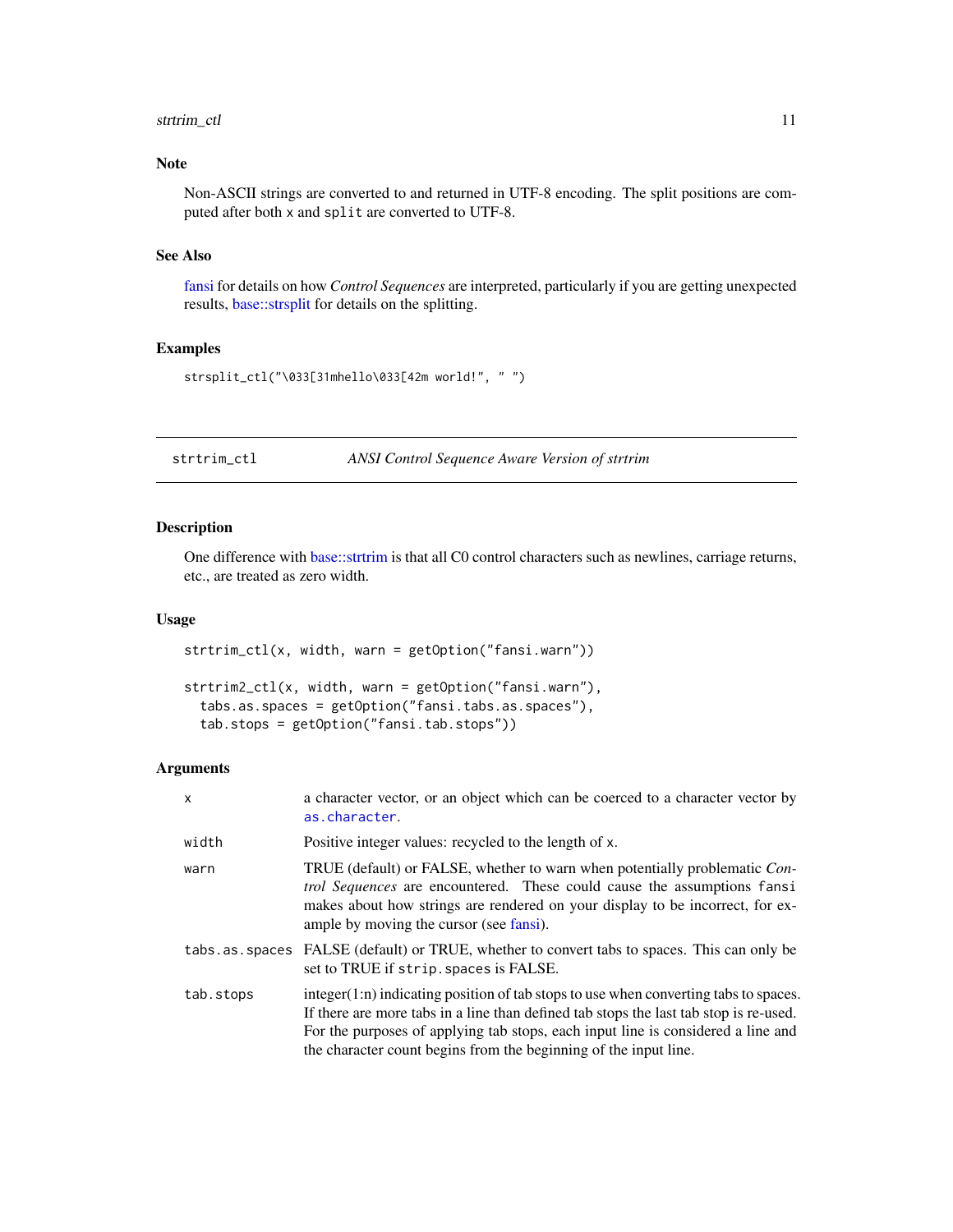# <span id="page-10-0"></span>strtrim\_ctl 11

### Note

Non-ASCII strings are converted to and returned in UTF-8 encoding. The split positions are computed after both x and split are converted to UTF-8.

# See Also

[fansi](#page-1-1) for details on how *Control Sequences* are interpreted, particularly if you are getting unexpected results, [base::strsplit](#page-0-0) for details on the splitting.

#### Examples

```
strsplit_ctl("\033[31mhello\033[42m world!", " ")
```
strtrim\_ctl *ANSI Control Sequence Aware Version of strtrim*

# Description

One difference with [base::strtrim](#page-0-0) is that all C0 control characters such as newlines, carriage returns, etc., are treated as zero width.

#### Usage

```
strtrim_ctl(x, width, warn = getOption("fansi.warn"))
```

```
strtrim2_ctl(x, width, warn = getOption("fansi.warn"),
  tabs.as.spaces = getOption("fansi.tabs.as.spaces"),
  tab.stops = getOption("fansi.tab.stops"))
```
# Arguments

| X         | a character vector, or an object which can be coerced to a character vector by<br>as.character.                                                                                                                                                                                                                                         |
|-----------|-----------------------------------------------------------------------------------------------------------------------------------------------------------------------------------------------------------------------------------------------------------------------------------------------------------------------------------------|
| width     | Positive integer values: recycled to the length of x.                                                                                                                                                                                                                                                                                   |
| warn      | TRUE (default) or FALSE, whether to warn when potentially problematic Con-<br><i>trol Sequences</i> are encountered. These could cause the assumptions fansi<br>makes about how strings are rendered on your display to be incorrect, for ex-<br>ample by moving the cursor (see fansi).                                                |
|           | tabs. as. spaces FALSE (default) or TRUE, whether to convert tabs to spaces. This can only be<br>set to TRUE if strip. spaces is FALSE.                                                                                                                                                                                                 |
| tab.stops | $integer(1:n)$ indicating position of tab stops to use when converting tabs to spaces.<br>If there are more tabs in a line than defined tab stops the last tab stop is re-used.<br>For the purposes of applying tab stops, each input line is considered a line and<br>the character count begins from the beginning of the input line. |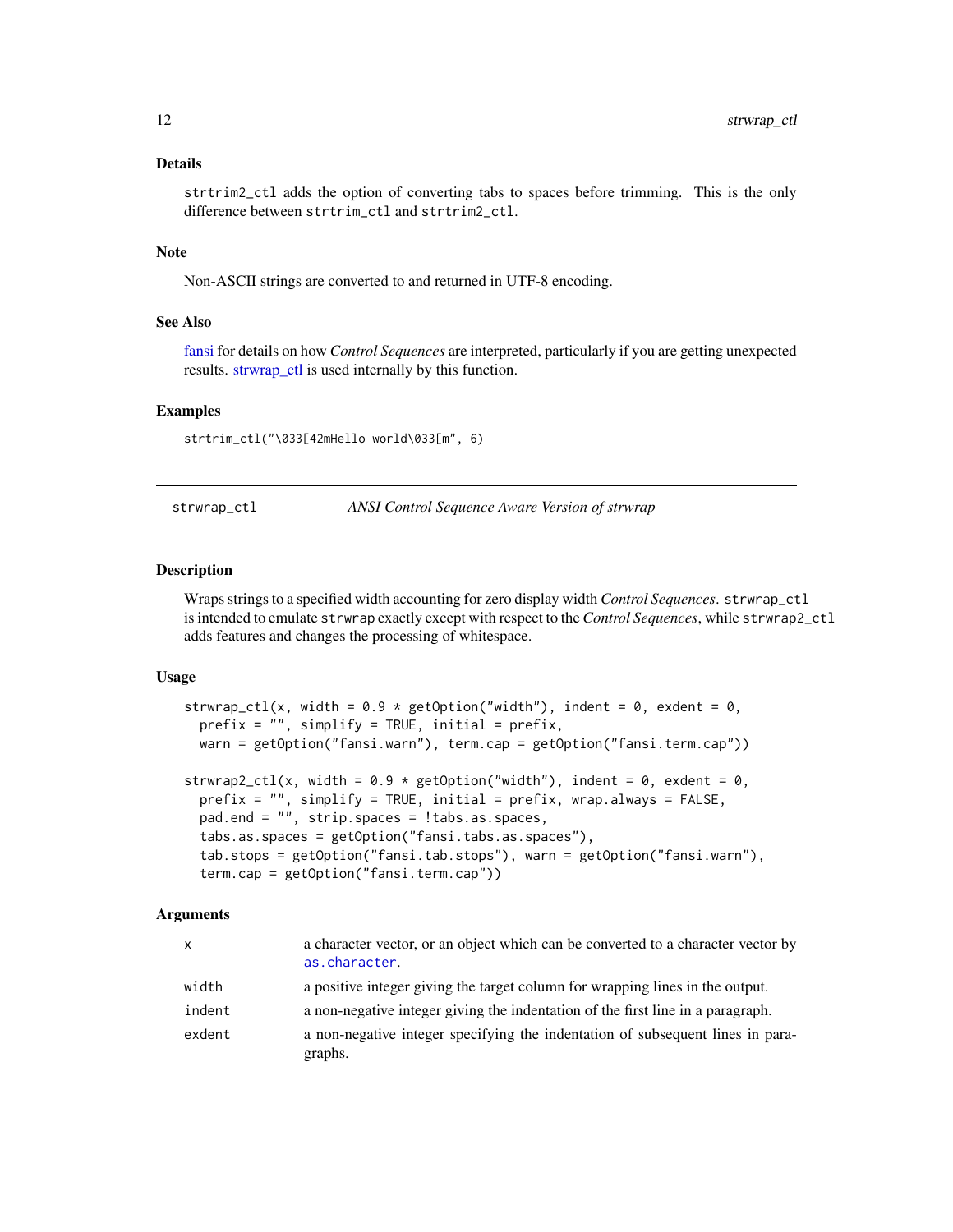#### <span id="page-11-0"></span>Details

strtrim2\_ctl adds the option of converting tabs to spaces before trimming. This is the only difference between strtrim\_ctl and strtrim2\_ctl.

#### **Note**

Non-ASCII strings are converted to and returned in UTF-8 encoding.

#### See Also

[fansi](#page-1-1) for details on how *Control Sequences* are interpreted, particularly if you are getting unexpected results. strwrap ctl is used internally by this function.

#### Examples

strtrim\_ctl("\033[42mHello world\033[m", 6)

<span id="page-11-1"></span>strwrap\_ctl *ANSI Control Sequence Aware Version of strwrap*

#### Description

Wraps strings to a specified width accounting for zero display width *Control Sequences*. strwrap\_ctl is intended to emulate strwrap exactly except with respect to the *Control Sequences*, while strwrap2\_ctl adds features and changes the processing of whitespace.

#### Usage

```
strwrap_ctl(x, width = 0.9 \times getOption("width"), indent = 0, exdent = 0,
 prefix = ", simplify = TRUE, initial = prefix,
 warn = getOption("fansi.warn"), term.cap = getOption("fansi.term.cap"))
strwrap2_ctl(x, width = 0.9 * getOption("width"), indent = 0, exdent = 0,prefix = ", simplify = TRUE, initial = prefix, wrap.always = FALSE,
 pad.end = "", strip.spaces = !tabs.as.spaces,
  tabs.as.spaces = getOption("fansi.tabs.as.spaces"),
  tab.stops = getOption("fansi.tab.stops"), warn = getOption("fansi.warn"),
  term.cap = getOption("fansi.term.cap"))
```
#### Arguments

| X      | a character vector, or an object which can be converted to a character vector by<br>as.character. |
|--------|---------------------------------------------------------------------------------------------------|
| width  | a positive integer giving the target column for wrapping lines in the output.                     |
| indent | a non-negative integer giving the indentation of the first line in a paragraph.                   |
| exdent | a non-negative integer specifying the indentation of subsequent lines in para-<br>graphs.         |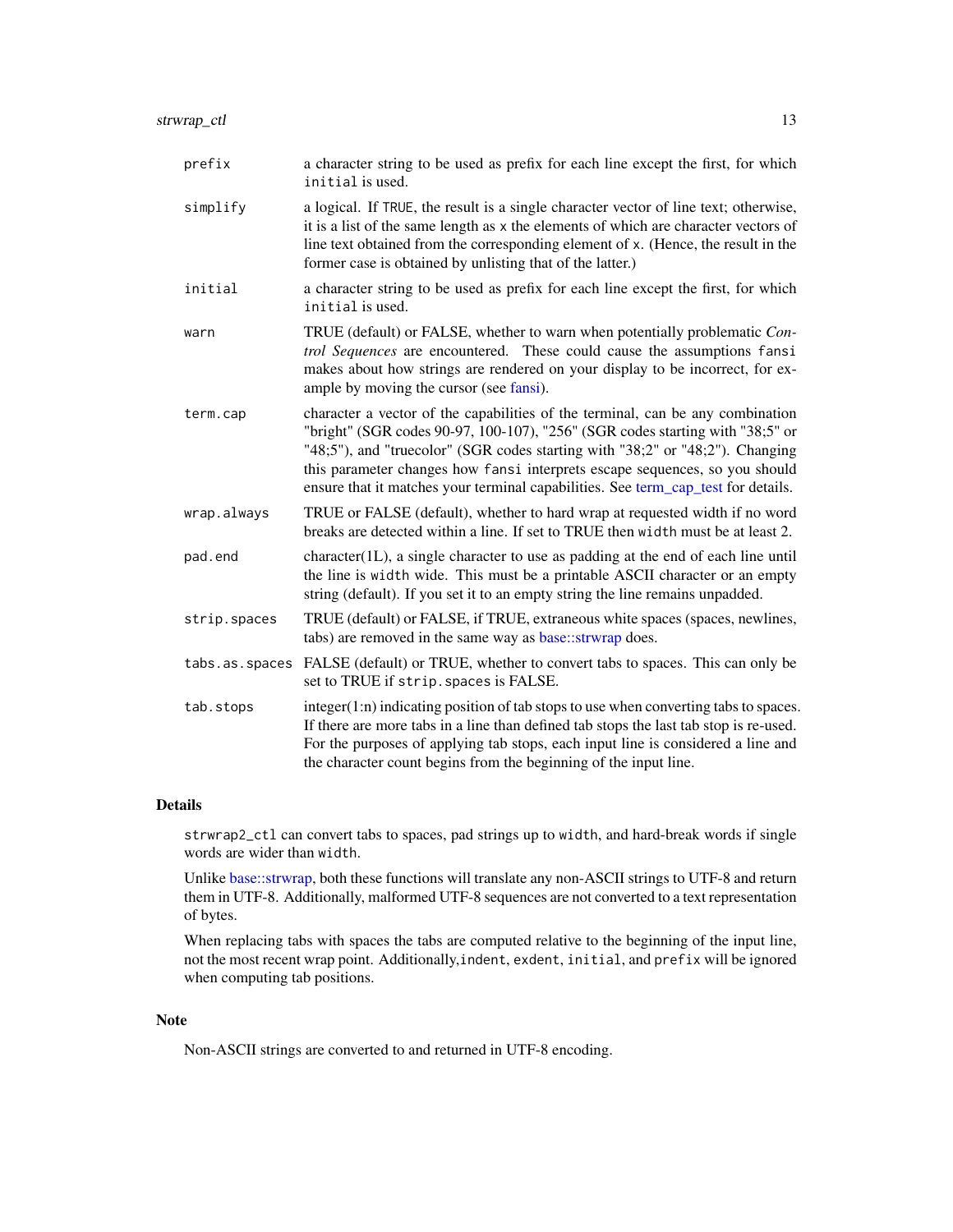<span id="page-12-0"></span>

| prefix   | a character string to be used as prefix for each line except the first, for which<br>initial is used.                                                                                                                                                                                                                         |
|----------|-------------------------------------------------------------------------------------------------------------------------------------------------------------------------------------------------------------------------------------------------------------------------------------------------------------------------------|
| simplify | a logical. If TRUE, the result is a single character vector of line text; otherwise,<br>it is a list of the same length as x the elements of which are character vectors of<br>line text obtained from the corresponding element of x. (Hence, the result in the<br>former case is obtained by unlisting that of the latter.) |
| initial  | a character string to be used as prefix for each line except the first, for which<br>initial is used.                                                                                                                                                                                                                         |
| warn     | TRUE (default) or FALSE, whether to warn when potentially problematic Con-<br><i>trol Sequences</i> are encountered. These could cause the assumptions fansi<br>makes about how strings are rendered on your display to be incorrect, for ex-                                                                                 |

- ample by moving the cursor (see [fansi\)](#page-1-1). term.cap character a vector of the capabilities of the terminal, can be any combination "bright" (SGR codes 90-97, 100-107), "256" (SGR codes starting with "38;5" or "48;5"), and "truecolor" (SGR codes starting with "38;2" or "48;2"). Changing this parameter changes how fansi interprets escape sequences, so you should ensure that it matches your terminal capabilities. See [term\\_cap\\_test](#page-17-1) for details.
- wrap.always TRUE or FALSE (default), whether to hard wrap at requested width if no word breaks are detected within a line. If set to TRUE then width must be at least 2.
- pad.end character(1L), a single character to use as padding at the end of each line until the line is width wide. This must be a printable ASCII character or an empty string (default). If you set it to an empty string the line remains unpadded.
- strip.spaces TRUE (default) or FALSE, if TRUE, extraneous white spaces (spaces, newlines, tabs) are removed in the same way as [base::strwrap](#page-0-0) does.
- tabs.as.spaces FALSE (default) or TRUE, whether to convert tabs to spaces. This can only be set to TRUE if strip.spaces is FALSE.
- tab. stops integer(1:n) indicating position of tab stops to use when converting tabs to spaces. If there are more tabs in a line than defined tab stops the last tab stop is re-used. For the purposes of applying tab stops, each input line is considered a line and the character count begins from the beginning of the input line.

#### Details

strwrap2\_ctl can convert tabs to spaces, pad strings up to width, and hard-break words if single words are wider than width.

Unlike [base::strwrap,](#page-0-0) both these functions will translate any non-ASCII strings to UTF-8 and return them in UTF-8. Additionally, malformed UTF-8 sequences are not converted to a text representation of bytes.

When replacing tabs with spaces the tabs are computed relative to the beginning of the input line, not the most recent wrap point. Additionally,indent, exdent, initial, and prefix will be ignored when computing tab positions.

#### **Note**

Non-ASCII strings are converted to and returned in UTF-8 encoding.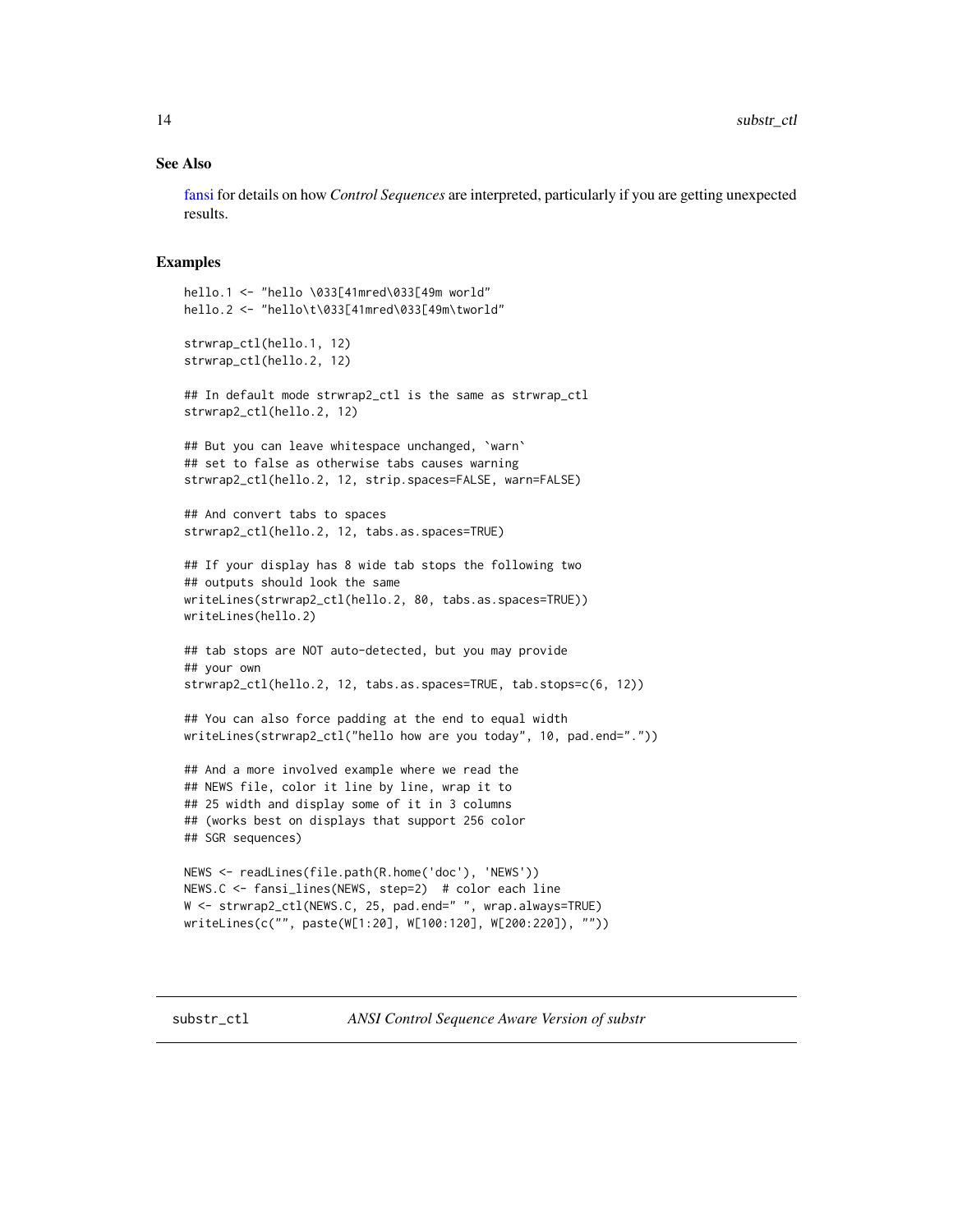#### <span id="page-13-0"></span>See Also

[fansi](#page-1-1) for details on how *Control Sequences* are interpreted, particularly if you are getting unexpected results.

#### Examples

```
hello.1 <- "hello \033[41mred\033[49m world"
hello.2 <- "hello\t\033[41mred\033[49m\tworld"
strwrap_ctl(hello.1, 12)
strwrap_ctl(hello.2, 12)
## In default mode strwrap2_ctl is the same as strwrap_ctl
strwrap2_ctl(hello.2, 12)
## But you can leave whitespace unchanged, 'warn'
## set to false as otherwise tabs causes warning
strwrap2_ctl(hello.2, 12, strip.spaces=FALSE, warn=FALSE)
## And convert tabs to spaces
strwrap2_ctl(hello.2, 12, tabs.as.spaces=TRUE)
## If your display has 8 wide tab stops the following two
## outputs should look the same
writeLines(strwrap2_ctl(hello.2, 80, tabs.as.spaces=TRUE))
writeLines(hello.2)
## tab stops are NOT auto-detected, but you may provide
## your own
strwrap2_ctl(hello.2, 12, tabs.as.spaces=TRUE, tab.stops=c(6, 12))
## You can also force padding at the end to equal width
writeLines(strwrap2_ctl("hello how are you today", 10, pad.end="."))
## And a more involved example where we read the
## NEWS file, color it line by line, wrap it to
## 25 width and display some of it in 3 columns
## (works best on displays that support 256 color
## SGR sequences)
NEWS <- readLines(file.path(R.home('doc'), 'NEWS'))
NEWS.C <- fansi_lines(NEWS, step=2) # color each line
W <- strwrap2_ctl(NEWS.C, 25, pad.end=" ", wrap.always=TRUE)
writeLines(c("", paste(W[1:20], W[100:120], W[200:220]), ""))
```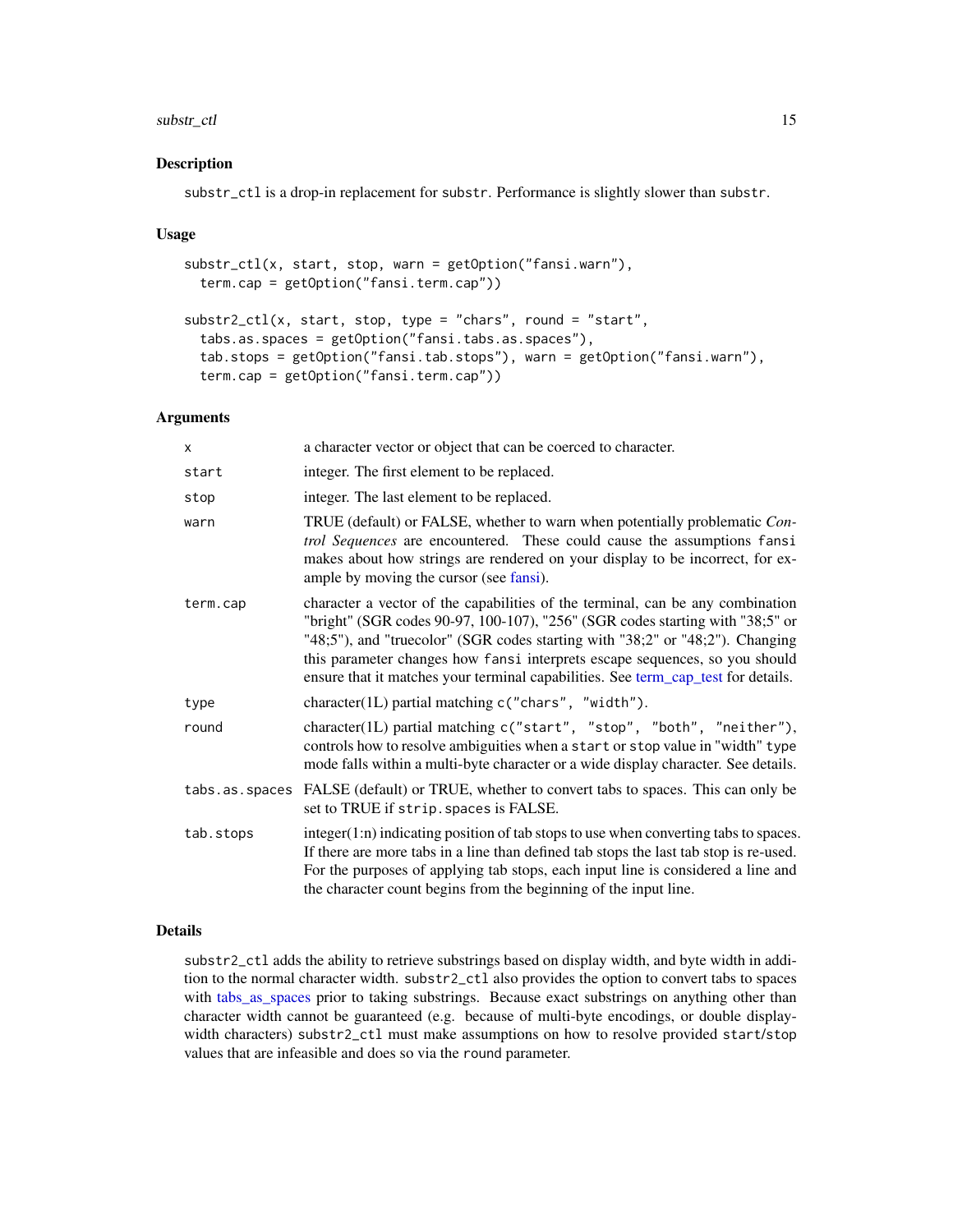#### <span id="page-14-0"></span>substr\_ctl 15

#### Description

substr\_ctl is a drop-in replacement for substr. Performance is slightly slower than substr.

#### Usage

```
substr_ctl(x, start, stop, warn = getOption("fansi.warn"),
  term.cap = getOption("fansi.term.cap"))
substr2_ctl(x, start, stop, type = "chars", round = "start",tabs.as.spaces = getOption("fansi.tabs.as.spaces"),
  tab.stops = getOption("fansi.tab.stops"), warn = getOption("fansi.warn"),
  term.cap = getOption("fansi.term.cap"))
```
#### Arguments

| x         | a character vector or object that can be coerced to character.                                                                                                                                                                                                                                                                                                                                                       |
|-----------|----------------------------------------------------------------------------------------------------------------------------------------------------------------------------------------------------------------------------------------------------------------------------------------------------------------------------------------------------------------------------------------------------------------------|
| start     | integer. The first element to be replaced.                                                                                                                                                                                                                                                                                                                                                                           |
| stop      | integer. The last element to be replaced.                                                                                                                                                                                                                                                                                                                                                                            |
| warn      | TRUE (default) or FALSE, whether to warn when potentially problematic Con-<br>trol Sequences are encountered. These could cause the assumptions fansi<br>makes about how strings are rendered on your display to be incorrect, for ex-<br>ample by moving the cursor (see fansi).                                                                                                                                    |
| term.cap  | character a vector of the capabilities of the terminal, can be any combination<br>"bright" (SGR codes 90-97, 100-107), "256" (SGR codes starting with "38;5" or<br>"48;5"), and "truecolor" (SGR codes starting with "38;2" or "48;2"). Changing<br>this parameter changes how fansi interprets escape sequences, so you should<br>ensure that it matches your terminal capabilities. See term_cap_test for details. |
| type      | character(1L) partial matching c("chars", "width").                                                                                                                                                                                                                                                                                                                                                                  |
| round     | character(1L) partial matching c("start", "stop", "both", "neither"),<br>controls how to resolve ambiguities when a start or stop value in "width" type<br>mode falls within a multi-byte character or a wide display character. See details.                                                                                                                                                                        |
|           | tabs. as . spaces FALSE (default) or TRUE, whether to convert tabs to spaces. This can only be<br>set to TRUE if strip. spaces is FALSE.                                                                                                                                                                                                                                                                             |
| tab.stops | integer(1:n) indicating position of tab stops to use when converting tabs to spaces.<br>If there are more tabs in a line than defined tab stops the last tab stop is re-used.<br>For the purposes of applying tab stops, each input line is considered a line and<br>the character count begins from the beginning of the input line.                                                                                |

# Details

substr2\_ctl adds the ability to retrieve substrings based on display width, and byte width in addition to the normal character width. substr2\_ctl also provides the option to convert tabs to spaces with [tabs\\_as\\_spaces](#page-15-1) prior to taking substrings. Because exact substrings on anything other than character width cannot be guaranteed (e.g. because of multi-byte encodings, or double displaywidth characters) substr2\_ctl must make assumptions on how to resolve provided start/stop values that are infeasible and does so via the round parameter.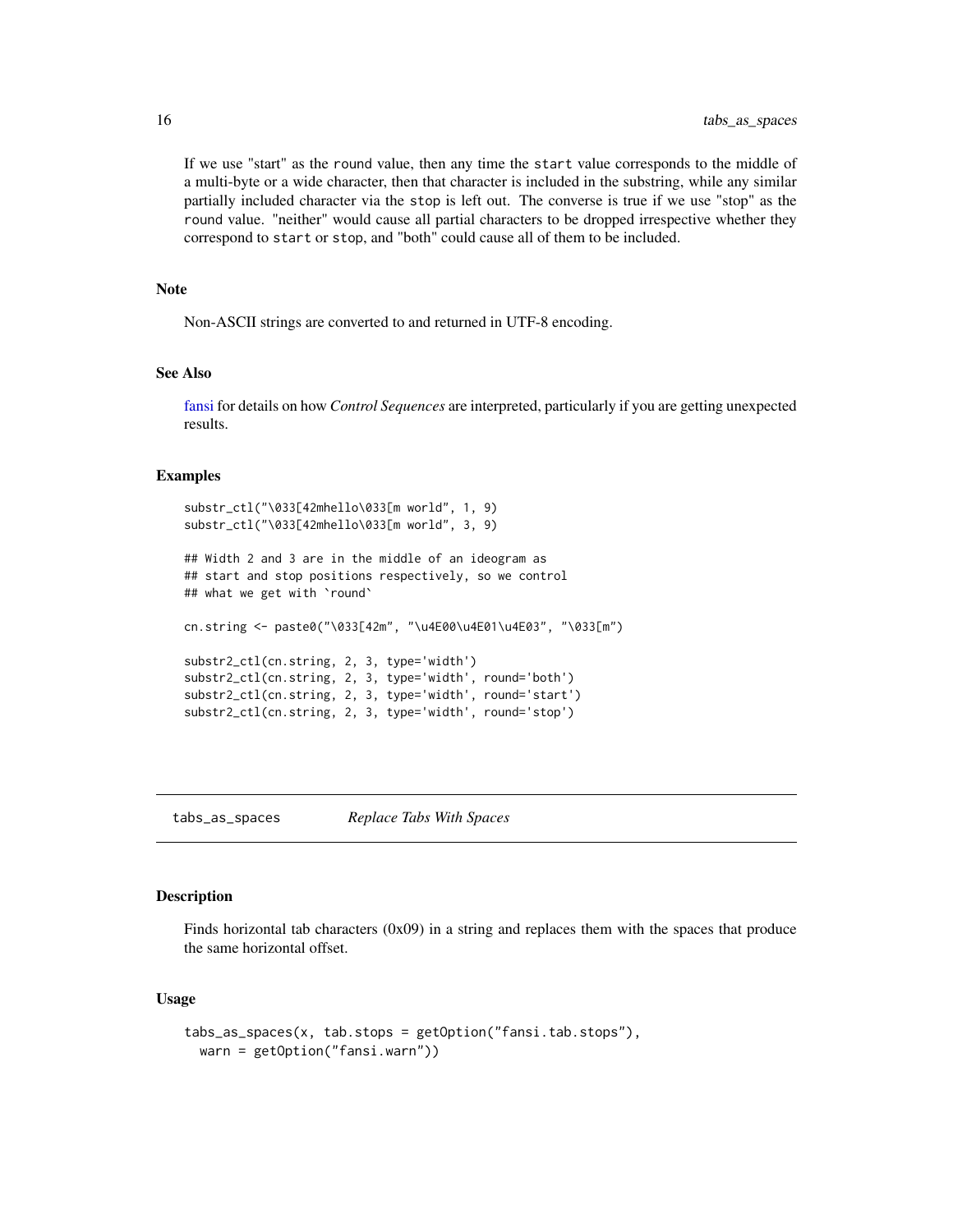If we use "start" as the round value, then any time the start value corresponds to the middle of a multi-byte or a wide character, then that character is included in the substring, while any similar partially included character via the stop is left out. The converse is true if we use "stop" as the round value. "neither" would cause all partial characters to be dropped irrespective whether they correspond to start or stop, and "both" could cause all of them to be included.

#### **Note**

Non-ASCII strings are converted to and returned in UTF-8 encoding.

#### See Also

[fansi](#page-1-1) for details on how *Control Sequences* are interpreted, particularly if you are getting unexpected results.

#### Examples

```
substr_ctl("\033[42mhello\033[m world", 1, 9)
substr_ctl("\033[42mhello\033[m world", 3, 9)
## Width 2 and 3 are in the middle of an ideogram as
## start and stop positions respectively, so we control
## what we get with `round`
cn.string <- paste0("\033[42m", "\u4E00\u4E01\u4E03", "\033[m")
substr2_ctl(cn.string, 2, 3, type='width')
substr2_ctl(cn.string, 2, 3, type='width', round='both')
substr2_ctl(cn.string, 2, 3, type='width', round='start')
substr2_ctl(cn.string, 2, 3, type='width', round='stop')
```
<span id="page-15-1"></span>tabs\_as\_spaces *Replace Tabs With Spaces*

# **Description**

Finds horizontal tab characters (0x09) in a string and replaces them with the spaces that produce the same horizontal offset.

### Usage

```
tabs_as_spaces(x, tab.stops = getOption("fansi.tab.stops"),
 warn = getOption("fansi.warn"))
```
<span id="page-15-0"></span>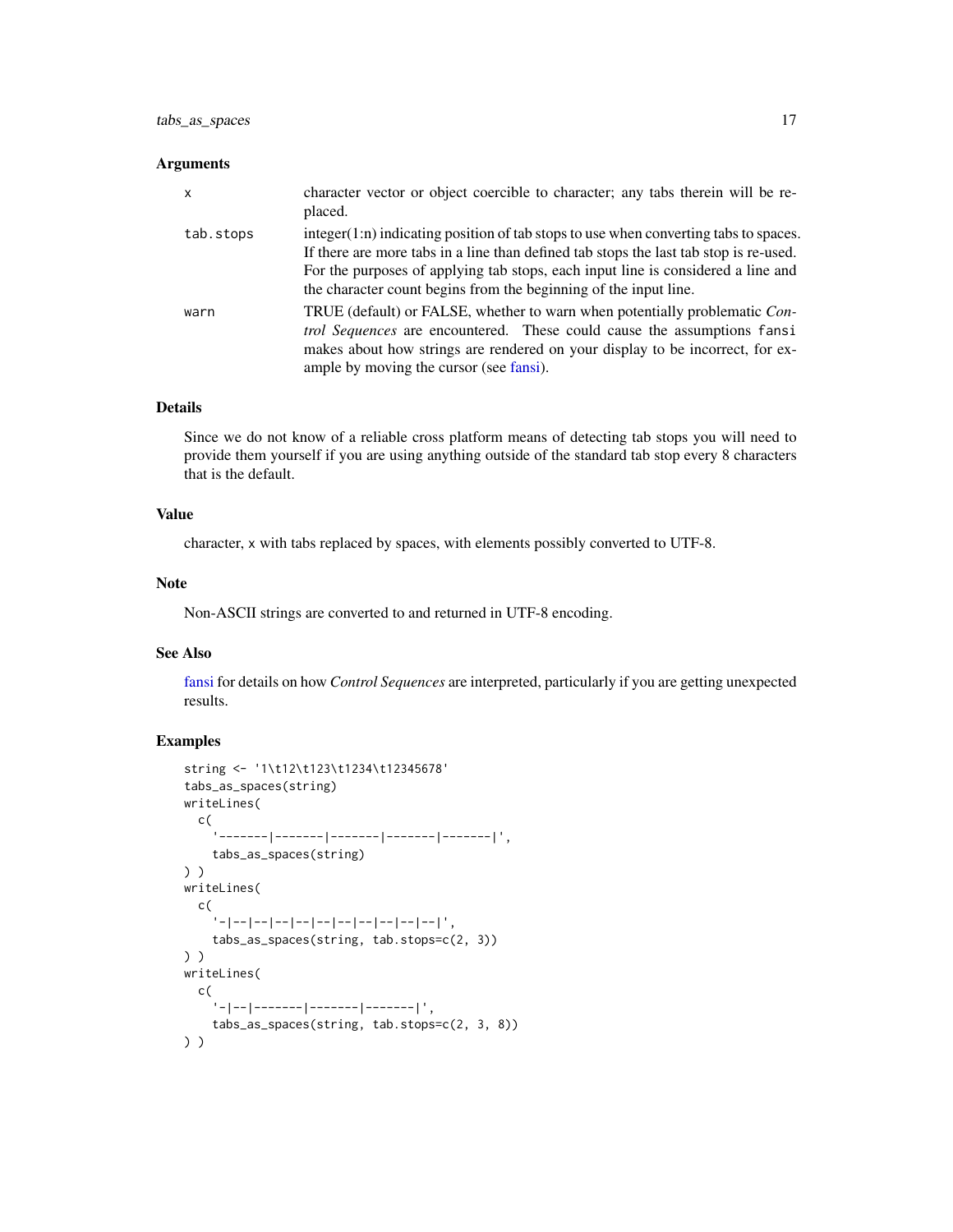#### Arguments

| $\mathsf{x}$ | character vector or object coercible to character; any tabs therein will be re-<br>placed.                                                                                                                                                                                                                                              |
|--------------|-----------------------------------------------------------------------------------------------------------------------------------------------------------------------------------------------------------------------------------------------------------------------------------------------------------------------------------------|
| tab.stops    | $integer(1:n)$ indicating position of tab stops to use when converting tabs to spaces.<br>If there are more tabs in a line than defined tab stops the last tab stop is re-used.<br>For the purposes of applying tab stops, each input line is considered a line and<br>the character count begins from the beginning of the input line. |
| warn         | TRUE (default) or FALSE, whether to warn when potentially problematic Con-<br><i>trol Sequences</i> are encountered. These could cause the assumptions fansi<br>makes about how strings are rendered on your display to be incorrect, for ex-<br>ample by moving the cursor (see fansi).                                                |

# Details

Since we do not know of a reliable cross platform means of detecting tab stops you will need to provide them yourself if you are using anything outside of the standard tab stop every 8 characters that is the default.

# Value

character, x with tabs replaced by spaces, with elements possibly converted to UTF-8.

#### Note

Non-ASCII strings are converted to and returned in UTF-8 encoding.

# See Also

[fansi](#page-1-1) for details on how *Control Sequences* are interpreted, particularly if you are getting unexpected results.

# Examples

```
string <- '1\t12\t123\t1234\t12345678'
tabs_as_spaces(string)
writeLines(
  c(
    '-------|-------|-------|-------|-------|',
    tabs_as_spaces(string)
) )
writeLines(
  c(
    .<br>''-|--|--|--|--|--|--|--|--|--|--|--|' ,
    tabs_as_spaces(string, tab.stops=c(2, 3))
) )
writeLines(
  c(
     '-|--|-------|-------|-------|',
    tabs_as_spaces(string, tab.stops=c(2, 3, 8))
) )
```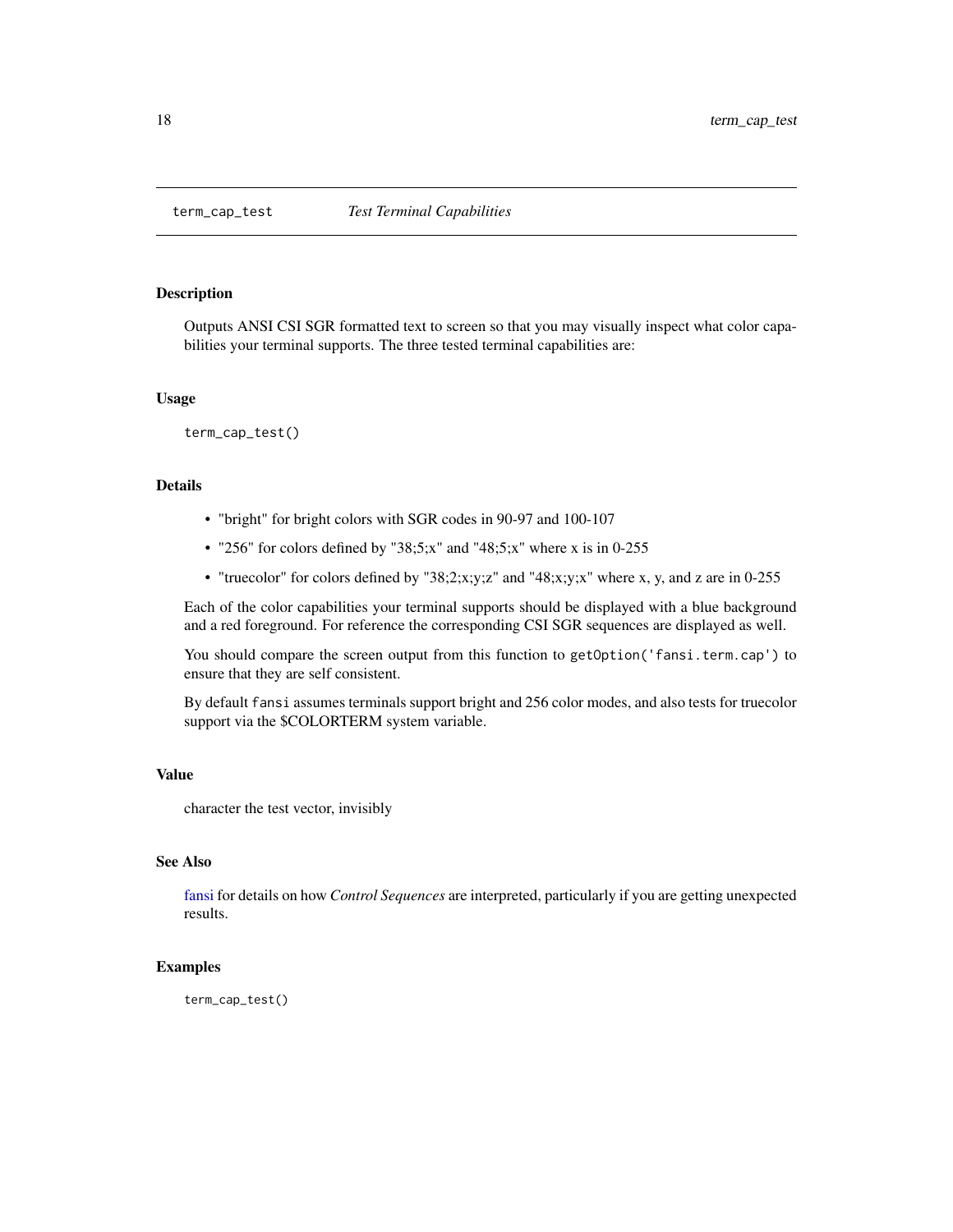<span id="page-17-1"></span><span id="page-17-0"></span>

#### Description

Outputs ANSI CSI SGR formatted text to screen so that you may visually inspect what color capabilities your terminal supports. The three tested terminal capabilities are:

#### Usage

term\_cap\_test()

# Details

- "bright" for bright colors with SGR codes in 90-97 and 100-107
- "256" for colors defined by "38;5;x" and "48;5;x" where x is in 0-255
- "truecolor" for colors defined by "38;2;x;y;z" and "48;x;y;x" where x, y, and z are in 0-255

Each of the color capabilities your terminal supports should be displayed with a blue background and a red foreground. For reference the corresponding CSI SGR sequences are displayed as well.

You should compare the screen output from this function to getOption('fansi.term.cap') to ensure that they are self consistent.

By default fansi assumes terminals support bright and 256 color modes, and also tests for truecolor support via the \$COLORTERM system variable.

#### Value

character the test vector, invisibly

#### See Also

[fansi](#page-1-1) for details on how *Control Sequences* are interpreted, particularly if you are getting unexpected results.

# Examples

term\_cap\_test()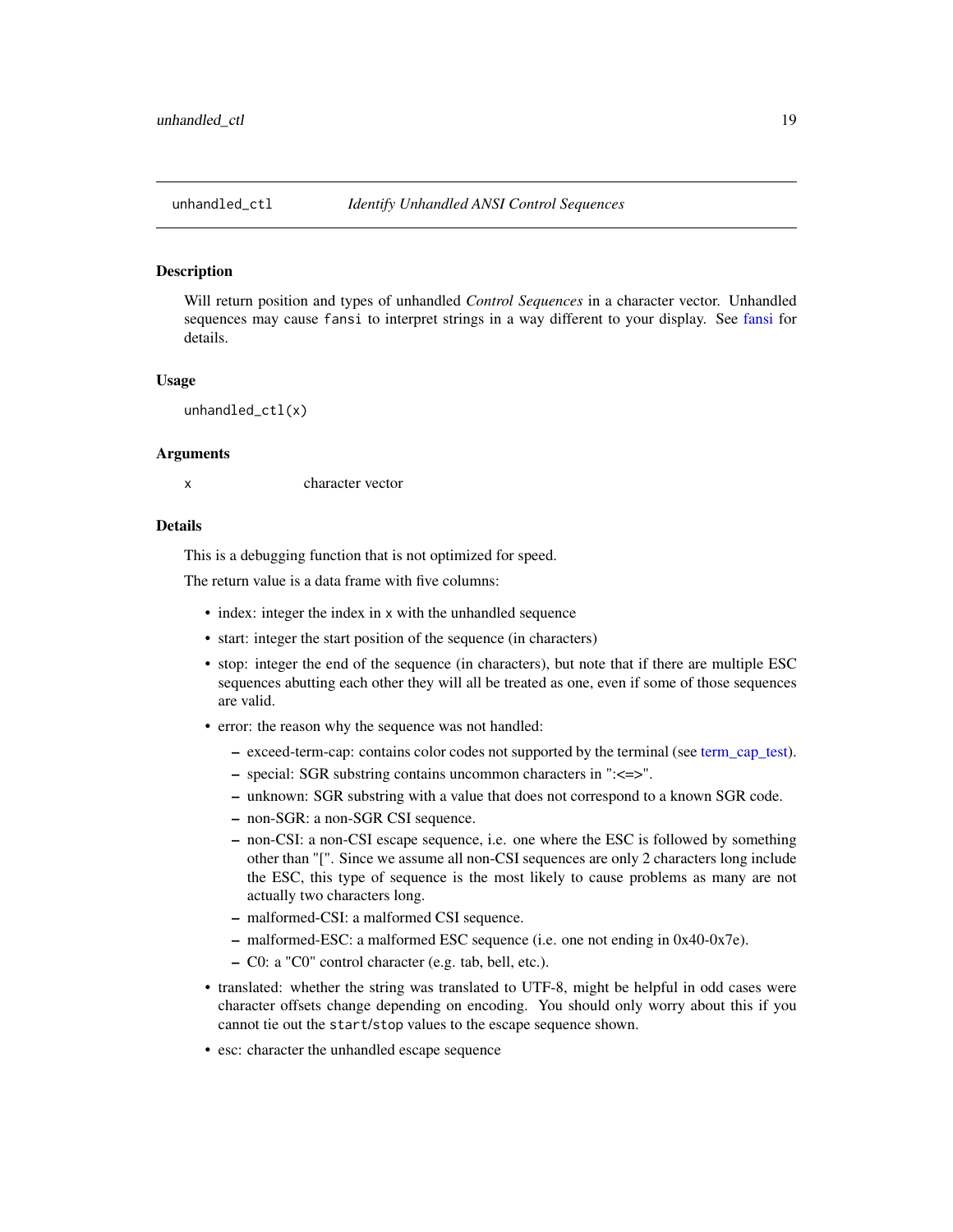<span id="page-18-0"></span>

#### Description

Will return position and types of unhandled *Control Sequences* in a character vector. Unhandled sequences may cause fansi to interpret strings in a way different to your display. See [fansi](#page-1-1) for details.

#### Usage

unhandled\_ctl(x)

#### Arguments

x character vector

#### Details

This is a debugging function that is not optimized for speed.

The return value is a data frame with five columns:

- index: integer the index in x with the unhandled sequence
- start: integer the start position of the sequence (in characters)
- stop: integer the end of the sequence (in characters), but note that if there are multiple ESC sequences abutting each other they will all be treated as one, even if some of those sequences are valid.
- error: the reason why the sequence was not handled:
	- exceed-term-cap: contains color codes not supported by the terminal (see [term\\_cap\\_test\)](#page-17-1).
	- special: SGR substring contains uncommon characters in ":<=>".
	- unknown: SGR substring with a value that does not correspond to a known SGR code.
	- non-SGR: a non-SGR CSI sequence.
	- non-CSI: a non-CSI escape sequence, i.e. one where the ESC is followed by something other than "[". Since we assume all non-CSI sequences are only 2 characters long include the ESC, this type of sequence is the most likely to cause problems as many are not actually two characters long.
	- malformed-CSI: a malformed CSI sequence.
	- malformed-ESC: a malformed ESC sequence (i.e. one not ending in 0x40-0x7e).
	- C0: a "C0" control character (e.g. tab, bell, etc.).
- translated: whether the string was translated to UTF-8, might be helpful in odd cases were character offsets change depending on encoding. You should only worry about this if you cannot tie out the start/stop values to the escape sequence shown.
- esc: character the unhandled escape sequence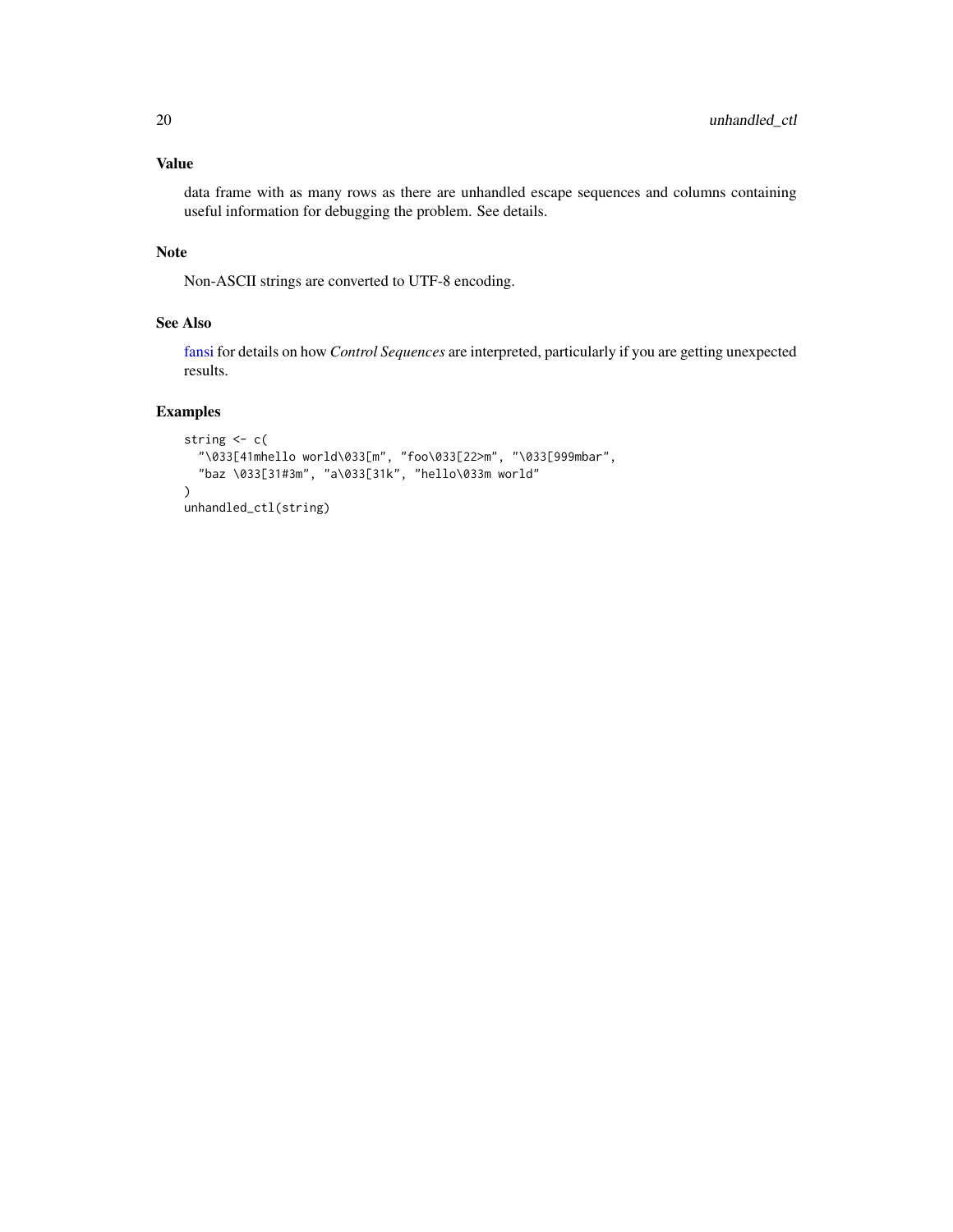# Value

data frame with as many rows as there are unhandled escape sequences and columns containing useful information for debugging the problem. See details.

# Note

Non-ASCII strings are converted to UTF-8 encoding.

# See Also

[fansi](#page-1-1) for details on how *Control Sequences* are interpreted, particularly if you are getting unexpected results.

# Examples

```
string <- c(
  "\033[41mhello world\033[m", "foo\033[22>m", "\033[999mbar",
  "baz \033[31#3m", "a\033[31k", "hello\033m world"
\mathcal{L}unhandled_ctl(string)
```
<span id="page-19-0"></span>